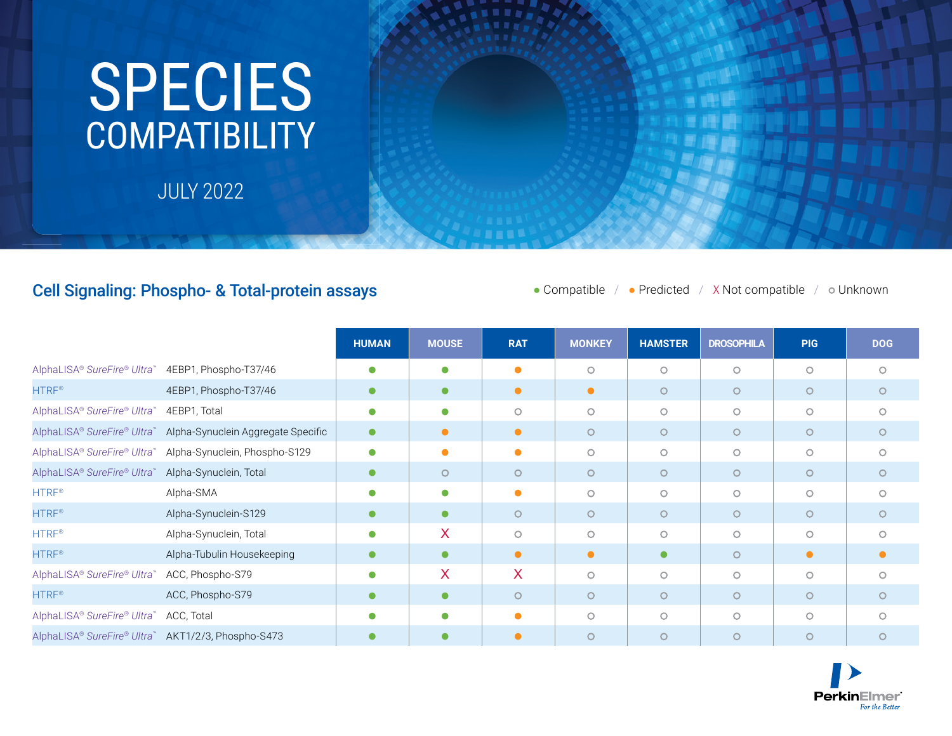## **COMPATIBILITY** SPECIES

JULY 2022

## Cell Signaling: Phospho- & Total-protein assays

● Compatible / ● Predicted / X Not compatible / ● Unknown

|                                                    |                                    | <b>HUMAN</b> | <b>MOUSE</b> | <b>RAT</b> | <b>MONKEY</b> | <b>HAMSTER</b> | <b>DROSOPHILA</b> | <b>PIG</b> | <b>DOG</b> |
|----------------------------------------------------|------------------------------------|--------------|--------------|------------|---------------|----------------|-------------------|------------|------------|
| AlphaLISA® SureFire® Ultra™                        | 4EBP1, Phospho-T37/46              | $\bullet$    | $\bullet$    |            | $\circ$       | $\circ$        | $\circ$           | $\circ$    | $\circ$    |
| <b>HTRF®</b>                                       | 4EBP1, Phospho-T37/46              | $\bullet$    | $\bullet$    | $\bullet$  | $\bullet$     | $\circ$        | $\circ$           | $\circ$    | $\circ$    |
| AlphaLISA® SureFire® Ultra™                        | 4EBP1, Total                       | $\bullet$    | $\bullet$    | $\circ$    | $\circ$       | $\circ$        | $\circ$           | $\circ$    | $\circ$    |
| AlphaLISA® SureFire® Ultra™                        | Alpha-Synuclein Aggregate Specific | $\bullet$    | $\bullet$    | $\bullet$  | $\circ$       | $\circ$        | $\circ$           | $\circ$    | $\circ$    |
| AlphaLISA® SureFire® Ultra™                        | Alpha-Synuclein, Phospho-S129      | $\bullet$    |              | ●          | $\circ$       | $\circ$        | $\circ$           | $\circ$    | $\circ$    |
| AlphaLISA® SureFire® Ultra™                        | Alpha-Synuclein, Total             | $\bullet$    | $\circ$      | $\circ$    | $\circ$       | $\circ$        | $\circ$           | $\circ$    | $\circ$    |
| <b>HTRF®</b>                                       | Alpha-SMA                          | $\bullet$    | $\bullet$    | ●          | $\circ$       | $\circ$        | $\circ$           | $\circ$    | $\circ$    |
| <b>HTRF®</b>                                       | Alpha-Synuclein-S129               | $\bullet$    | $\bullet$    | $\circ$    | $\circ$       | $\circ$        | $\circ$           | $\circ$    | $\circ$    |
| HTRF <sup>®</sup>                                  | Alpha-Synuclein, Total             | $\bullet$    | $\mathsf{X}$ | $\circ$    | $\circ$       | $\circ$        | $\circ$           | $\circ$    | $\circ$    |
| <b>HTRF®</b>                                       | Alpha-Tubulin Housekeeping         | $\bullet$    | $\bullet$    | $\bullet$  | $\bullet$     | $\bullet$      | $\circ$           | $\bullet$  | $\bullet$  |
| AlphaLISA® SureFire® Ultra                         | ACC, Phospho-S79                   | $\bullet$    | X.           | X          | $\circ$       | $\circ$        | $\circ$           | $\circ$    | $\circ$    |
| <b>HTRF®</b>                                       | ACC, Phospho-S79                   | $\bullet$    | $\bullet$    | $\circ$    | $\circ$       | $\circ$        | $\circ$           | $\circ$    | $\circ$    |
| AlphaLISA® SureFire® Ultra™                        | ACC, Total                         |              | $\bullet$    |            | $\circ$       | $\circ$        | $\circ$           | $\circ$    | $\bigcirc$ |
| AlphaLISA® SureFire® Ultra™ AKT1/2/3, Phospho-S473 |                                    |              |              |            | $\circ$       | $\circ$        | $\circ$           | $\circ$    | $\circ$    |

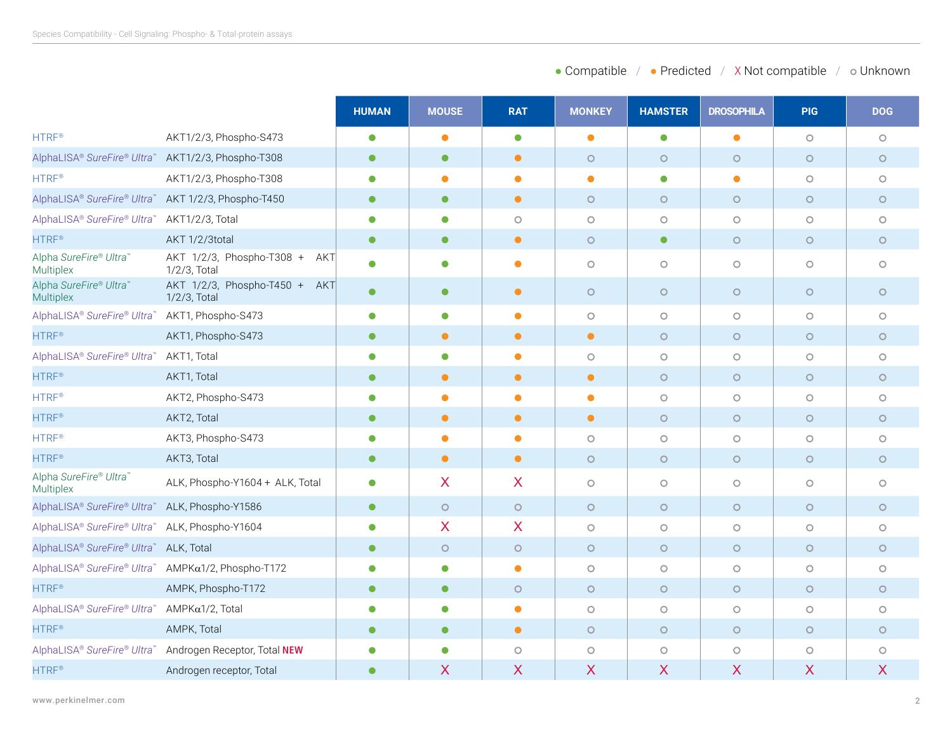|                                                     |                                                  | <b>HUMAN</b> | <b>MOUSE</b> | <b>RAT</b> | <b>MONKEY</b> | <b>HAMSTER</b> | <b>DROSOPHILA</b>   | <b>PIG</b> | <b>DOG</b> |
|-----------------------------------------------------|--------------------------------------------------|--------------|--------------|------------|---------------|----------------|---------------------|------------|------------|
| <b>HTRF®</b>                                        | AKT1/2/3, Phospho-S473                           | $\bullet$    | $\bullet$    | $\bullet$  | $\bullet$     | $\bullet$      | $\bullet$           | $\circ$    | $\circ$    |
| AlphaLISA® SureFire® Ultra™ AKT1/2/3, Phospho-T308  |                                                  | $\bullet$    | $\bullet$    | $\bullet$  | $\circ$       | $\circ$        | $\circ$             | $\circ$    | $\circ$    |
| <b>HTRF®</b>                                        | AKT1/2/3, Phospho-T308                           | $\bullet$    | $\bullet$    | $\bullet$  | $\bullet$     | $\bullet$      | $\bullet$           | $\circ$    | $\circ$    |
| AlphaLISA® SureFire® Ultra™ AKT 1/2/3, Phospho-T450 |                                                  | $\bullet$    | $\bullet$    | $\bullet$  | $\circ$       | $\circ$        | $\circ$             | $\circ$    | $\circ$    |
| AlphaLISA® SureFire® Ultra™ AKT1/2/3, Total         |                                                  | $\bullet$    | $\bullet$    | $\circ$    | $\circ$       | $\circ$        | $\circ$             | $\circ$    | $\circ$    |
| <b>HTRF®</b>                                        | AKT 1/2/3total                                   | $\bullet$    | $\bullet$    | $\bullet$  | $\circ$       | $\bullet$      | $\circ$             | $\circ$    | $\circ$    |
| Alpha SureFire® Ultra™<br>Multiplex                 | AKT 1/2/3, Phospho-T308 +<br>AKT<br>1/2/3, Total | $\bullet$    | $\bullet$    | $\bullet$  | $\circ$       | $\circ$        | $\circ$             | $\circ$    | $\circ$    |
| Alpha SureFire® Ultra<br>Multiplex                  | AKT 1/2/3, Phospho-T450 + AKT<br>1/2/3, Total    | $\bullet$    | $\bullet$    | $\bullet$  | $\circ$       | $\circ$        | $\circ$             | $\circ$    | $\circ$    |
| AlphaLISA® SureFire® Ultra™                         | AKT1, Phospho-S473                               | $\bullet$    | $\bullet$    | $\bullet$  | $\circ$       | $\circ$        | $\circ$             | $\circ$    | $\circ$    |
| <b>HTRF®</b>                                        | AKT1, Phospho-S473                               | $\bullet$    | $\bullet$    | $\bullet$  | $\bullet$     | $\circ$        | $\circ$             | $\circ$    | $\circ$    |
| AlphaLISA® SureFire® Ultra™                         | AKT1, Total                                      | $\bullet$    | $\bullet$    | $\bullet$  | $\circ$       | $\circ$        | $\circ$             | $\circ$    | $\circ$    |
| <b>HTRF®</b>                                        | AKT1, Total                                      | $\bullet$    | $\bullet$    | $\bullet$  | $\bullet$     | $\circ$        | $\circ$             | $\circ$    | $\circ$    |
| HTRF <sup>®</sup>                                   | AKT2, Phospho-S473                               | $\bullet$    | $\bullet$    | $\bullet$  | $\bullet$     | $\circ$        | $\circ$             | $\circ$    | $\circ$    |
| <b>HTRF®</b>                                        | AKT2, Total                                      | $\bullet$    | $\bullet$    | $\bullet$  | $\bullet$     | $\circ$        | $\circ$             | $\circ$    | $\circ$    |
| <b>HTRF®</b>                                        | AKT3, Phospho-S473                               | $\bullet$    | $\bullet$    | $\bullet$  | $\circ$       | $\circ$        | $\circ$             | $\circ$    | $\circ$    |
| <b>HTRF®</b>                                        | AKT3, Total                                      | $\bullet$    | $\bullet$    | $\bullet$  | $\circ$       | $\circ$        | $\circ$             | $\circ$    | $\circ$    |
| Alpha SureFire® Ultra<br>Multiplex                  | ALK, Phospho-Y1604 + ALK, Total                  | $\bullet$    | X            | X          | $\circ$       | $\circ$        | $\circ$             | $\circ$    | $\circ$    |
| AlphaLISA® SureFire® Ultra™ ALK, Phospho-Y1586      |                                                  | $\bullet$    | $\circ$      | $\circ$    | $\circ$       | $\circ$        | $\circ$             | $\circ$    | $\circ$    |
| AlphaLISA® SureFire® Ultra™ ALK, Phospho-Y1604      |                                                  | $\bullet$    | X            | X          | $\circ$       | $\bigcirc$     | $\circlearrowright$ | $\circ$    | $\circ$    |
| AlphaLISA® SureFire® Ultra™                         | ALK, Total                                       | $\bullet$    | $\circ$      | $\circ$    | $\circ$       | $\circ$        | $\circ$             | $\circ$    | $\circ$    |
| AlphaLISA® SureFire® Ultra™ AMPKα1/2, Phospho-T172  |                                                  | О            | $\bullet$    | $\bullet$  | $\circ$       | $\circ$        | $\circ$             | $\circ$    | $\circ$    |
| <b>HTRF®</b>                                        | AMPK, Phospho-T172                               | $\bullet$    | $\bullet$    | $\circ$    | $\circ$       | $\circ$        | $\circ$             | $\circ$    | $\circ$    |
| AlphaLISA® SureFire® Ultra™                         | AMPKα1/2, Total                                  | $\bullet$    | $\bullet$    | $\bullet$  | $\circ$       | $\circ$        | $\circ$             | $\circ$    | $\circ$    |
| <b>HTRF®</b>                                        | AMPK, Total                                      | $\bullet$    | $\bullet$    | $\bullet$  | $\circ$       | $\circ$        | $\circ$             | $\circ$    | $\circ$    |
| AlphaLISA® SureFire® Ultra™                         | Androgen Receptor, Total NEW                     | ●            | $\bullet$    | $\circ$    | $\circ$       | $\circ$        | $\circ$             | $\circ$    | $\circ$    |
| <b>HTRF®</b>                                        | Androgen receptor, Total                         |              | X            | X          | X             | X              | X                   | X          | X          |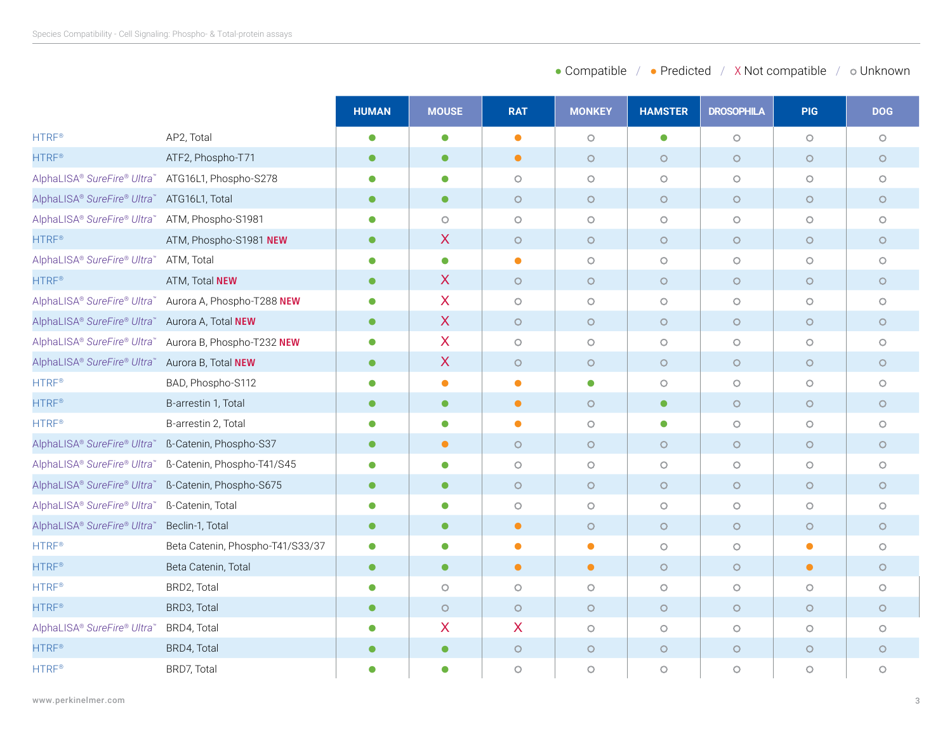|                                                     |                                                        | <b>HUMAN</b> | <b>MOUSE</b>     | <b>RAT</b> | <b>MONKEY</b> | <b>HAMSTER</b> | <b>DROSOPHILA</b>   | <b>PIG</b> | <b>DOG</b> |
|-----------------------------------------------------|--------------------------------------------------------|--------------|------------------|------------|---------------|----------------|---------------------|------------|------------|
| <b>HTRF®</b>                                        | AP2, Total                                             | $\bullet$    | $\bullet$        | $\bullet$  | $\circ$       | $\bullet$      | $\circ$             | $\circ$    | $\circ$    |
| <b>HTRF®</b>                                        | ATF2, Phospho-T71                                      | $\bullet$    | $\bullet$        | $\bullet$  | $\circ$       | $\circ$        | $\circ$             | $\circ$    | $\circ$    |
| AlphaLISA® SureFire® Ultra™ ATG16L1, Phospho-S278   |                                                        | ●            | $\bullet$        | $\circ$    | $\circ$       | $\circ$        | $\circ$             | $\circ$    | $\circ$    |
| AlphaLISA® SureFire® Ultra™ ATG16L1, Total          |                                                        | $\bullet$    | $\bullet$        | $\circ$    | $\circ$       | $\circ$        | $\circ$             | $\circ$    | $\circ$    |
| AlphaLISA® SureFire® Ultra™ ATM, Phospho-S1981      |                                                        | $\bullet$    | $\circ$          | $\circ$    | $\circ$       | $\circ$        | $\circ$             | $\circ$    | $\circ$    |
| <b>HTRF®</b>                                        | ATM, Phospho-S1981 NEW                                 | $\bullet$    | X                | $\circ$    | $\circ$       | $\circ$        | $\circ$             | $\circ$    | $\circ$    |
| AlphaLISA® SureFire® Ultra™ ATM, Total              |                                                        | $\bullet$    | $\bullet$        | $\bullet$  | $\circ$       | $\circ$        | $\circlearrowright$ | $\circ$    | $\circ$    |
| <b>HTRF®</b>                                        | ATM, Total NEW                                         | $\bullet$    | X                | $\circ$    | $\circ$       | $\circ$        | $\circ$             | $\circ$    | $\circ$    |
|                                                     | AlphaLISA® SureFire® Ultra™ Aurora A, Phospho-T288 NEW | $\bullet$    | $\mathsf{X}$     | $\circ$    | $\circ$       | $\circ$        | $\circ$             | $\circ$    | $\circ$    |
| AlphaLISA® SureFire® Ultra™ Aurora A, Total NEW     |                                                        | $\bullet$    | $\mathsf{X}$     | $\circ$    | $\circ$       | $\circ$        | $\circ$             | $\circ$    | $\circ$    |
|                                                     | AlphaLISA® SureFire® Ultra™ Aurora B, Phospho-T232 NEW | $\bullet$    | X                | $\circ$    | $\circ$       | $\circ$        | $\circ$             | $\circ$    | $\circ$    |
| AlphaLISA® SureFire® Ultra™                         | Aurora B, Total NEW                                    | $\bullet$    | $\boldsymbol{X}$ | $\circ$    | $\circ$       | $\circ$        | $\circ$             | $\circ$    | $\circ$    |
| <b>HTRF®</b>                                        | BAD, Phospho-S112                                      | C            | $\bullet$        | $\bullet$  | $\bullet$     | $\circ$        | $\circ$             | $\circ$    | $\circ$    |
| <b>HTRF®</b>                                        | B-arrestin 1, Total                                    | $\bullet$    | $\bullet$        | $\bullet$  | $\circ$       | $\bullet$      | $\circ$             | $\circ$    | $\circ$    |
| <b>HTRF®</b>                                        | B-arrestin 2, Total                                    | $\bullet$    | $\bullet$        | $\bullet$  | $\circ$       | $\bullet$      | $\circ$             | $\circ$    | $\circ$    |
| AlphaLISA® SureFire® Ultra™ ß-Catenin, Phospho-S37  |                                                        | $\bullet$    | $\bullet$        | $\circ$    | $\circ$       | $\circ$        | $\circ$             | $\circ$    | $\circ$    |
|                                                     | AlphaLISA® SureFire® Ultra™ ß-Catenin, Phospho-T41/S45 |              | $\bullet$        | $\circ$    | $\circ$       | $\circ$        | $\circ$             | $\circ$    | $\circ$    |
| AlphaLISA® SureFire® Ultra™ ß-Catenin, Phospho-S675 |                                                        | $\bullet$    | $\bullet$        | $\circ$    | $\circ$       | $\circ$        | $\circ$             | $\circ$    | $\circ$    |
| AlphaLISA® SureFire® Ultra™ ß-Catenin, Total        |                                                        | C            | $\bullet$        | $\circ$    | $\circ$       | $\circ$        | $\circ$             | $\circ$    | $\circ$    |
| AlphaLISA® SureFire® Ultra™                         | Beclin-1, Total                                        | $\bullet$    | $\bullet$        | $\bullet$  | $\circ$       | $\circ$        | $\circ$             | $\circ$    | $\circ$    |
| HTRF <sup>®</sup>                                   | Beta Catenin, Phospho-T41/S33/37                       | $\bullet$    | $\bullet$        | $\bullet$  | $\bullet$     | $\circ$        | $\circ$             | $\bullet$  | $\circ$    |
| <b>HTRF®</b>                                        | Beta Catenin, Total                                    | $\bullet$    | $\bullet$        | $\bullet$  | $\bullet$     | $\circ$        | $\circ$             | $\bullet$  | $\circ$    |
| <b>HTRF®</b>                                        | BRD2, Total                                            | $\bullet$    | $\circ$          | $\circ$    | $\circ$       | $\circ$        | $\circ$             | $\circ$    | $\circ$    |
| <b>HTRF®</b>                                        | BRD3, Total                                            | $\bullet$    | $\circ$          | $\circ$    | $\circ$       | $\circ$        | $\circ$             | $\circ$    | $\circ$    |
| AlphaLISA® SureFire® Ultra™                         | BRD4, Total                                            | $\bullet$    | X                | X          | $\circ$       | $\circ$        | $\circ$             | $\circ$    | $\circ$    |
| <b>HTRF®</b>                                        | BRD4, Total                                            | $\bullet$    | $\bullet$        | $\circ$    | $\circ$       | $\circ$        | $\circ$             | $\circ$    | $\circ$    |
| HTRF <sup>®</sup>                                   | BRD7, Total                                            | C            | $\bullet$        | $\circ$    | $\circ$       | $\circ$        | $\circlearrowright$ | $\circ$    | $\circ$    |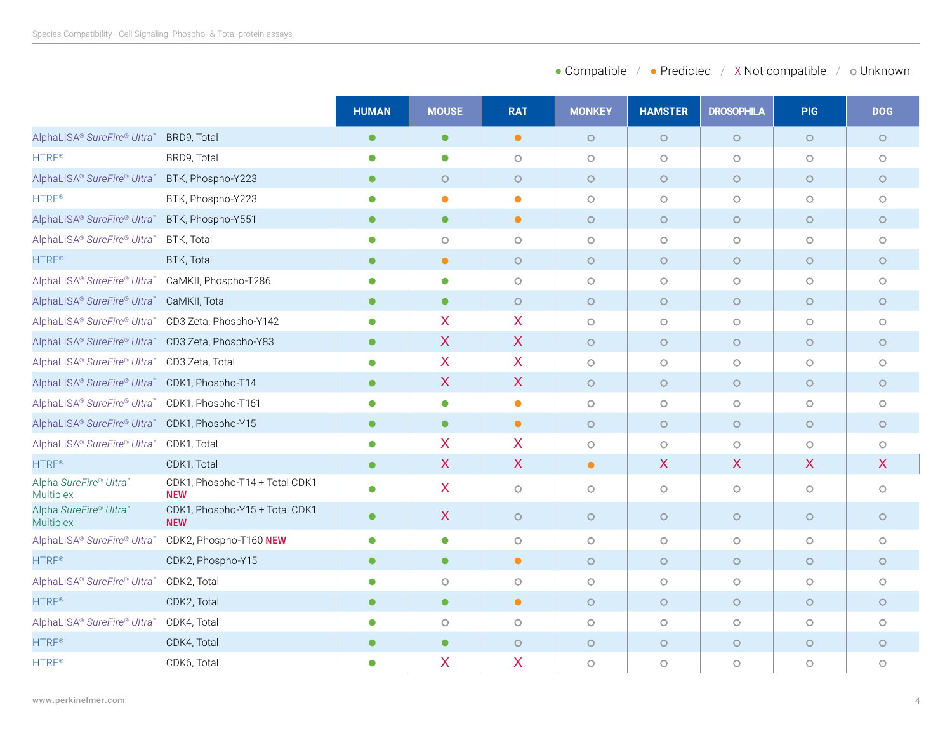| • Compatible<br>• Predicted | X Not compatible | ⊙ Unknown |
|-----------------------------|------------------|-----------|
|-----------------------------|------------------|-----------|

|                                                    |                                              | <b>HUMAN</b> | <b>MOUSE</b>     | <b>RAT</b>   | <b>MONKEY</b> | <b>HAMSTER</b>      | <b>DROSOPHILA</b>         | <b>PIG</b>          | <b>DOG</b> |
|----------------------------------------------------|----------------------------------------------|--------------|------------------|--------------|---------------|---------------------|---------------------------|---------------------|------------|
| AlphaLISA® SureFire® Ultra™                        | BRD9, Total                                  | $\bullet$    | $\bullet$        | $\bullet$    | $\circ$       | $\circ$             | $\circ$                   | $\circ$             | $\circ$    |
| <b>HTRF®</b>                                       | BRD9, Total                                  | $\bullet$    | $\bullet$        | $\circ$      | $\circ$       | $\circ$             | $\circ$                   | $\circ$             | $\circ$    |
| AlphaLISA® SureFire® Ultra™                        | BTK, Phospho-Y223                            | $\bullet$    | $\circ$          | $\circ$      | $\circ$       | $\circ$             | $\circ$                   | $\circ$             | $\circ$    |
| <b>HTRF®</b>                                       | BTK, Phospho-Y223                            | $\bullet$    | $\bullet$        | $\bullet$    | $\circ$       | $\circ$             | $\circ$                   | $\circ$             | $\circ$    |
| AlphaLISA® SureFire® Ultra™                        | BTK, Phospho-Y551                            | $\bullet$    | $\bullet$        | $\bullet$    | $\circ$       | $\circ$             | $\circ$                   | $\circ$             | $\circ$    |
| AlphaLISA® SureFire® Ultra™                        | BTK, Total                                   |              | $\circ$          | $\circ$      | $\bigcirc$    | $\circlearrowright$ | $\circ$                   | $\circlearrowright$ | $\circ$    |
| <b>HTRF®</b>                                       | BTK, Total                                   | $\bullet$    | $\bullet$        | $\circ$      | $\circ$       | $\circ$             | $\circ$                   | $\circ$             | $\circ$    |
| AlphaLISA® SureFire® Ultra™                        | CaMKII, Phospho-T286                         | $\bullet$    | $\bullet$        | $\circ$      | $\circ$       | $\circ$             | $\circ$                   | $\circ$             | $\circ$    |
| AlphaLISA® SureFire® Ultra™                        | CaMKII, Total                                | $\bullet$    | $\bullet$        | $\circ$      | $\circ$       | $\circ$             | $\circ$                   | $\circ$             | $\circ$    |
| AlphaLISA® SureFire® Ultra™ CD3 Zeta, Phospho-Y142 |                                              | $\bullet$    | X                | X            | $\circ$       | $\circ$             | $\circ$                   | $\circ$             | $\circ$    |
| AlphaLISA® SureFire® Ultra™ CD3 Zeta, Phospho-Y83  |                                              | $\bullet$    | $\sf X$          | $\sf X$      | $\circ$       | $\circ$             | $\circ$                   | $\circ$             | $\circ$    |
| AlphaLISA® SureFire® Ultra™ CD3 Zeta, Total        |                                              | $\bullet$    | $\boldsymbol{X}$ | X            | $\circ$       | $\circ$             | $\circ$                   | $\circ$             | $\circ$    |
| AlphaLISA® SureFire® Ultra™ CDK1, Phospho-T14      |                                              | $\bullet$    | $\sf X$          | $\sf X$      | $\circ$       | $\circ$             | $\circ$                   | $\circ$             | $\circ$    |
| AlphaLISA® SureFire® Ultra™                        | CDK1, Phospho-T161                           | $\bullet$    | $\bullet$        | $\bullet$    | $\circ$       | $\circ$             | $\circ$                   | $\circ$             | $\circ$    |
| AlphaLISA® SureFire® Ultra™                        | CDK1, Phospho-Y15                            | $\bullet$    | $\bullet$        | $\bullet$    | $\circ$       | $\circ$             | $\circ$                   | $\circ$             | $\circ$    |
| AlphaLISA® SureFire® Ultra™                        | CDK1, Total                                  | $\bullet$    | X                | X            | $\circ$       | $\circ$             | $\circ$                   | $\circ$             | $\circ$    |
| <b>HTRF®</b>                                       | CDK1, Total                                  | $\bullet$    | $\boldsymbol{X}$ | $\mathsf{X}$ | $\bullet$     | X                   | $\boldsymbol{\mathsf{X}}$ | X                   | X          |
| Alpha SureFire® Ultra™<br>Multiplex                | CDK1, Phospho-T14 + Total CDK1<br><b>NEW</b> | $\bullet$    | X                | $\circ$      | $\circ$       | $\circ$             | $\circ$                   | $\circ$             | $\circ$    |
| Alpha SureFire® Ultra™<br><b>Multiplex</b>         | CDK1, Phospho-Y15 + Total CDK1<br><b>NEW</b> | $\bullet$    | $\mathsf{X}$     | $\circ$      | $\circ$       | $\circ$             | $\circ$                   | $\circ$             | $\circ$    |
| AlphaLISA® SureFire® Ultra™                        | CDK2, Phospho-T160 NEW                       | $\bullet$    | $\bullet$        | $\circ$      | $\circ$       | $\circlearrowright$ | $\circ$                   | $\circ$             | $\circ$    |
| <b>HTRF®</b>                                       | CDK2, Phospho-Y15                            | $\bullet$    | $\bullet$        | $\bullet$    | $\circ$       | $\circ$             | $\circ$                   | $\circ$             | $\circ$    |
| AlphaLISA® SureFire® Ultra™                        | CDK2, Total                                  | O            | $\circ$          | $\circ$      | $\circ$       | $\circlearrowright$ | $\circ$                   | $\circ$             | $\circ$    |
| <b>HTRF®</b>                                       | CDK2, Total                                  | $\bullet$    | $\bullet$        | $\bullet$    | $\circ$       | $\circ$             | $\circ$                   | $\circ$             | $\circ$    |
| AlphaLISA® SureFire® Ultra™                        | CDK4, Total                                  | $\bullet$    | $\circ$          | $\circ$      | $\circ$       | $\circ$             | $\circ$                   | $\circ$             | $\circ$    |
| <b>HTRF®</b>                                       | CDK4, Total                                  | $\bullet$    | $\bullet$        | $\circ$      | $\circ$       | $\circ$             | $\circ$                   | $\circ$             | $\circ$    |
| HTRF <sup>®</sup>                                  | CDK6, Total                                  | $\bullet$    | X                | X            | $\circ$       | $\circ$             | $\circ$                   | $\circ$             | $\circ$    |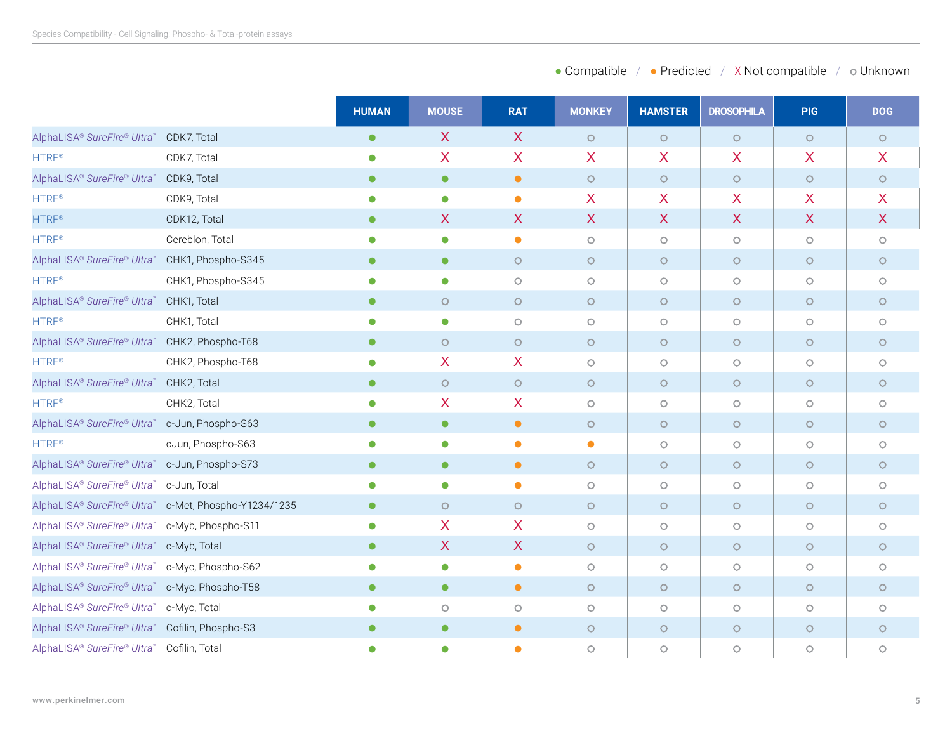| • Compatible<br>• Predicted | X Not compatible | ⊙ Unknown |
|-----------------------------|------------------|-----------|
|-----------------------------|------------------|-----------|

|                                                 |                                                       | <b>HUMAN</b> | <b>MOUSE</b> | <b>RAT</b>   | <b>MONKEY</b> | <b>HAMSTER</b> | <b>DROSOPHILA</b>         | <b>PIG</b> | <b>DOG</b>                |
|-------------------------------------------------|-------------------------------------------------------|--------------|--------------|--------------|---------------|----------------|---------------------------|------------|---------------------------|
| AlphaLISA® SureFire® Ultra™                     | CDK7, Total                                           | $\bullet$    | $\sf X$      | $\mathsf{X}$ | $\circ$       | $\circ$        | $\circ$                   | $\circ$    | $\circ$                   |
| <b>HTRF®</b>                                    | CDK7, Total                                           | $\bullet$    | X            | X.           | X             | X              | $\overline{\mathsf{X}}$   | X          | X                         |
| AlphaLISA® SureFire® Ultra™                     | CDK9, Total                                           | $\bullet$    | $\bullet$    | $\bullet$    | $\circ$       | $\circ$        | $\circ$                   | $\circ$    | $\circ$                   |
| <b>HTRF®</b>                                    | CDK9, Total                                           | $\bullet$    | $\bullet$    | $\bullet$    | X             | X              | X                         | X          | X                         |
| <b>HTRF®</b>                                    | CDK12, Total                                          | $\bullet$    | X            | X            | $\sf X$       | X              | $\boldsymbol{\mathsf{X}}$ | X          | $\boldsymbol{\mathsf{X}}$ |
| <b>HTRF®</b>                                    | Cereblon, Total                                       | $\bullet$    | $\bullet$    | $\bullet$    | $\circ$       | $\circ$        | $\circ$                   | $\circ$    | $\circ$                   |
| AlphaLISA® SureFire® Ultra™ CHK1, Phospho-S345  |                                                       | $\bullet$    | $\bullet$    | $\circ$      | $\circ$       | $\circ$        | $\circ$                   | $\circ$    | $\circ$                   |
| <b>HTRF®</b>                                    | CHK1, Phospho-S345                                    | $\bullet$    | $\bullet$    | $\circ$      | $\circ$       | $\circ$        | $\circ$                   | $\circ$    | $\circ$                   |
| AlphaLISA® SureFire® Ultra™                     | CHK1, Total                                           | $\bullet$    | $\circ$      | $\circ$      | $\circ$       | $\circ$        | $\circ$                   | $\circ$    | $\circ$                   |
| HTRF <sup>®</sup>                               | CHK1, Total                                           | $\bullet$    | $\bullet$    | $\circ$      | $\circ$       | $\circ$        | $\circ$                   | $\circ$    | $\circ$                   |
| AlphaLISA® SureFire® Ultra™ CHK2, Phospho-T68   |                                                       | $\bullet$    | $\circ$      | $\circ$      | $\circ$       | $\circ$        | $\circ$                   | $\circ$    | $\circ$                   |
| <b>HTRF®</b>                                    | CHK2, Phospho-T68                                     | $\bullet$    | X            | X            | $\circ$       | $\circ$        | $\circ$                   | $\circ$    | $\circ$                   |
| AlphaLISA® SureFire® Ultra™                     | CHK2, Total                                           | $\bullet$    | $\circ$      | $\circ$      | $\circ$       | $\circ$        | $\circ$                   | $\circ$    | $\circ$                   |
| <b>HTRF®</b>                                    | CHK2, Total                                           | $\bullet$    | X            | X.           | $\circ$       | $\circ$        | $\circ$                   | $\circ$    | $\circ$                   |
| AlphaLISA® SureFire® Ultra™ c-Jun, Phospho-S63  |                                                       | $\bullet$    | $\bullet$    | $\bullet$    | $\circ$       | $\circ$        | $\circ$                   | $\circ$    | $\circ$                   |
| <b>HTRF®</b>                                    | cJun, Phospho-S63                                     | $\bullet$    | $\bullet$    | $\bullet$    | $\bullet$     | $\circ$        | $\circ$                   | $\circ$    | $\circ$                   |
| AlphaLISA® SureFire® Ultra™ c-Jun, Phospho-S73  |                                                       | $\bullet$    | $\bullet$    | $\bullet$    | $\circ$       | $\circ$        | $\circ$                   | $\circ$    | $\circ$                   |
| AlphaLISA® SureFire® Ultra™ c-Jun, Total        |                                                       | $\bullet$    | $\bullet$    | $\bullet$    | $\circ$       | $\circ$        | $\circ$                   | $\circ$    | $\circ$                   |
|                                                 | AlphaLISA® SureFire® Ultra™ c-Met, Phospho-Y1234/1235 | $\bullet$    | $\circ$      | $\circ$      | $\circ$       | $\circ$        | $\circ$                   | $\circ$    | $\circ$                   |
| AlphaLISA® SureFire® Ultra™ c-Myb, Phospho-S11  |                                                       |              | X            | X            | $\circ$       | $\circ$        | $\circ$                   | $\circ$    | $\circ$                   |
| AlphaLISA® SureFire® Ultra™ c-Myb, Total        |                                                       | $\bullet$    | X            | $\mathsf{X}$ | $\circ$       | $\circ$        | $\circ$                   | $\circ$    | $\circ$                   |
| AlphaLISA® SureFire® Ultra™ c-Myc, Phospho-S62  |                                                       |              | $\bullet$    | $\bullet$    | $\circ$       | $\circ$        | $\circ$                   | $\circ$    | $\circ$                   |
| AlphaLISA® SureFire® Ultra™ c-Myc, Phospho-T58  |                                                       | $\bullet$    | $\bullet$    | $\bullet$    | $\circ$       | $\circ$        | $\circ$                   | $\circ$    | $\circ$                   |
| AlphaLISA® SureFire® Ultra™ c-Myc, Total        |                                                       | $\bullet$    | $\circ$      | $\circ$      | $\circ$       | $\circ$        | $\circ$                   | $\circ$    | $\circ$                   |
| AlphaLISA® SureFire® Ultra™ Cofilin, Phospho-S3 |                                                       | $\bullet$    | $\bullet$    | $\bullet$    | $\circ$       | $\circ$        | $\circ$                   | $\circ$    | $\circ$                   |
| AlphaLISA® SureFire® Ultra™ Cofilin, Total      |                                                       | $\bullet$    | $\bullet$    | $\bullet$    | $\circ$       | $\circ$        | $\circ$                   | $\circ$    | $\circ$                   |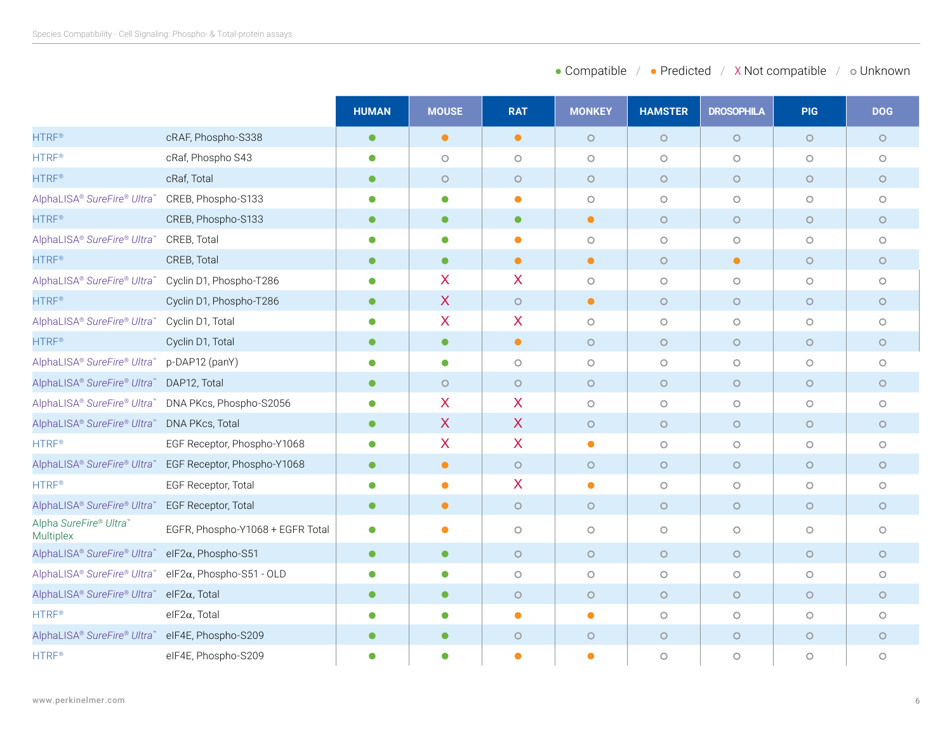|                                                 |                                   | <b>HUMAN</b> | <b>MOUSE</b>              | <b>RAT</b> | <b>MONKEY</b> | <b>HAMSTER</b> | <b>DROSOPHILA</b>   | <b>PIG</b> | <b>DOG</b> |
|-------------------------------------------------|-----------------------------------|--------------|---------------------------|------------|---------------|----------------|---------------------|------------|------------|
| <b>HTRF®</b>                                    | cRAF, Phospho-S338                | $\bullet$    | $\bullet$                 | $\bullet$  | $\circ$       | $\circ$        | $\circ$             | $\circ$    | $\circ$    |
| <b>HTRF®</b>                                    | cRaf, Phospho S43                 | $\bullet$    | $\circ$                   | $\circ$    | $\circ$       | $\circ$        | $\circ$             | $\circ$    | $\circ$    |
| <b>HTRF®</b>                                    | cRaf, Total                       | $\bullet$    | $\circ$                   | $\circ$    | $\circ$       | $\circ$        | $\circ$             | $\circ$    | $\circ$    |
| AlphaLISA® SureFire® Ultra™                     | CREB, Phospho-S133                |              | $\bullet$                 | $\bullet$  | $\circ$       | $\circ$        | $\circ$             | $\circ$    | $\circ$    |
| <b>HTRF®</b>                                    | CREB, Phospho-S133                | $\bullet$    | $\bullet$                 | $\bullet$  | $\bullet$     | $\circ$        | $\circ$             | $\circ$    | $\circ$    |
| AlphaLISA® SureFire® Ultra™                     | CREB, Total                       | О            | $\bullet$                 | $\bullet$  | $\circ$       | $\circ$        | $\circ$             | $\circ$    | $\circ$    |
| <b>HTRF®</b>                                    | CREB, Total                       | $\bullet$    | $\bullet$                 | $\bullet$  | $\bullet$     | $\circ$        | $\bullet$           | $\circ$    | $\circ$    |
| AlphaLISA® SureFire® Ultra™                     | Cyclin D1, Phospho-T286           | $\bullet$    | $\boldsymbol{\mathsf{X}}$ | X          | $\circ$       | $\circ$        | $\circ$             | $\circ$    | $\circ$    |
| <b>HTRF®</b>                                    | Cyclin D1, Phospho-T286           | $\bullet$    | $\boldsymbol{X}$          | $\circ$    | $\bullet$     | $\circ$        | $\circ$             | $\circ$    | $\circ$    |
| AlphaLISA® SureFire® Ultra™                     | Cyclin D1, Total                  | $\bullet$    | X                         | X          | $\circ$       | $\circ$        | $\circlearrowright$ | $\circ$    | $\circ$    |
| <b>HTRF®</b>                                    | Cyclin D1, Total                  | $\bullet$    | $\bullet$                 | $\bullet$  | $\circ$       | $\circ$        | $\circ$             | $\circ$    | $\circ$    |
| AlphaLISA® SureFire® Ultra™                     | p-DAP12 (panY)                    | $\bullet$    | $\bullet$                 | $\circ$    | $\circ$       | $\circ$        | $\circ$             | $\circ$    | $\circ$    |
| AlphaLISA® SureFire® Ultra™                     | DAP12, Total                      | $\bullet$    | $\circ$                   | $\circ$    | $\circ$       | $\circ$        | $\circ$             | $\circ$    | $\circ$    |
| AlphaLISA® SureFire® Ultra™                     | DNA PKcs, Phospho-S2056           | $\bullet$    | $\boldsymbol{\mathsf{X}}$ | X          | $\circ$       | $\circ$        | $\circ$             | $\circ$    | $\circ$    |
| AlphaLISA® SureFire® Ultra™ DNA PKcs, Total     |                                   | $\bullet$    | $\sf X$                   | X          | $\circ$       | $\circ$        | $\circ$             | $\circ$    | $\circ$    |
| <b>HTRF®</b>                                    | EGF Receptor, Phospho-Y1068       | $\bullet$    | X                         | X          | $\bullet$     | $\circ$        | $\circ$             | $\circ$    | $\circ$    |
| AlphaLISA® SureFire® Ultra™                     | EGF Receptor, Phospho-Y1068       | $\bullet$    | $\bullet$                 | $\circ$    | $\circ$       | $\circ$        | $\circ$             | $\circ$    | $\circ$    |
| <b>HTRF®</b>                                    | EGF Receptor, Total               | $\bullet$    | $\bullet$                 | X.         | $\bullet$     | $\circ$        | $\circ$             | $\circ$    | $\circ$    |
| AlphaLISA® SureFire® Ultra™                     | EGF Receptor, Total               | $\bullet$    | $\bullet$                 | $\circ$    | $\circ$       | $\circ$        | $\circ$             | $\circ$    | $\circ$    |
| Alpha SureFire® Ultra™<br>Multiplex             | EGFR, Phospho-Y1068 + EGFR Total  | $\bullet$    | $\bullet$                 | $\circ$    | $\circ$       | $\circ$        | $\circ$             | $\circ$    | $\circ$    |
| AlphaLISA® SureFire® Ultra™ elF2α, Phospho-S51  |                                   | $\bullet$    | $\bullet$                 | $\circ$    | $\circ$       | $\circ$        | $\circ$             | $\circ$    | $\circ$    |
| AlphaLISA® SureFire® Ultra™                     | el $F2\alpha$ , Phospho-S51 - OLD | 0            | $\bullet$                 | $\circ$    | $\circ$       | $\circ$        | $\circ$             | $\circ$    | $\circ$    |
| AlphaLISA® SureFire® Ultra™                     | elF2 $\alpha$ , Total             | $\bullet$    | $\bullet$                 | $\circ$    | $\circ$       | $\circ$        | $\circ$             | $\circ$    | $\circ$    |
| <b>HTRF®</b>                                    | $e$ IF2 $\alpha$ , Total          | $\bullet$    | $\bullet$                 | $\bullet$  | $\bullet$     | $\circ$        | $\circ$             | $\circ$    | $\circ$    |
| AlphaLISA® SureFire® Ultra™ eIF4E, Phospho-S209 |                                   | $\bullet$    | $\bullet$                 | $\circ$    | $\circ$       | $\circ$        | $\circ$             | $\circ$    | $\circ$    |
| <b>HTRF®</b>                                    | elF4E, Phospho-S209               |              | ●                         | $\bullet$  | Ο             | $\circ$        | $\circ$             | $\circ$    | $\circ$    |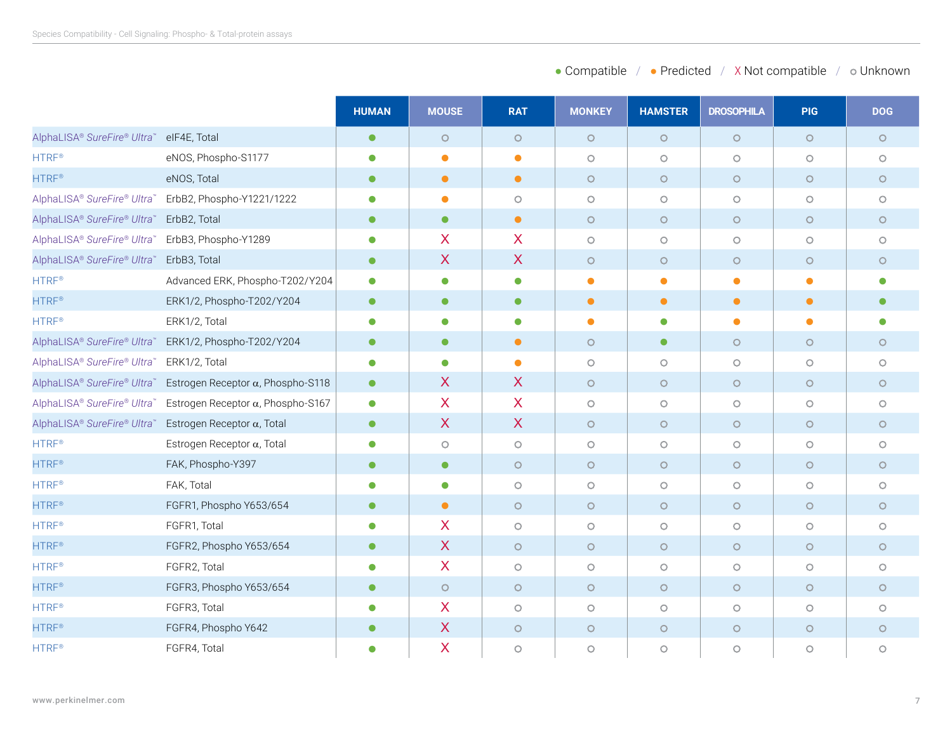| • Compatible | • Predicted | X Not compatible | o Unknown |
|--------------|-------------|------------------|-----------|
|--------------|-------------|------------------|-----------|

|                                          |                                                                       | <b>HUMAN</b> | <b>MOUSE</b>              | <b>RAT</b>   | <b>MONKEY</b> | <b>HAMSTER</b> | <b>DROSOPHILA</b>   | <b>PIG</b> | <b>DOG</b> |
|------------------------------------------|-----------------------------------------------------------------------|--------------|---------------------------|--------------|---------------|----------------|---------------------|------------|------------|
| AlphaLISA® SureFire® Ultra™              | elF4E, Total                                                          | $\bullet$    | $\circ$                   | $\circ$      | $\circ$       | $\circ$        | $\circ$             | $\circ$    | $\circ$    |
| <b>HTRF®</b>                             | eNOS, Phospho-S1177                                                   | $\bullet$    | $\bullet$                 | $\bullet$    | $\circ$       | $\circ$        | $\circlearrowright$ | $\circ$    | $\circ$    |
| <b>HTRF®</b>                             | eNOS, Total                                                           | $\bullet$    | $\bullet$                 | $\bullet$    | $\circ$       | $\circ$        | $\circ$             | $\circ$    | $\circ$    |
|                                          | AlphaLISA® SureFire® Ultra™ ErbB2, Phospho-Y1221/1222                 | $\bullet$    | $\bullet$                 | $\circ$      | $\circ$       | $\circ$        | $\circ$             | $\circ$    | $\circ$    |
| AlphaLISA® SureFire® Ultra™              | ErbB2, Total                                                          | $\bullet$    | $\bullet$                 | $\bullet$    | $\circ$       | $\circ$        | $\circ$             | $\circ$    | $\circ$    |
| AlphaLISA® SureFire® Ultra™              | ErbB3, Phospho-Y1289                                                  | $\bullet$    | $\boldsymbol{\mathsf{X}}$ | $\mathsf{X}$ | $\circ$       | $\circ$        | $\circ$             | $\circ$    | $\circ$    |
| AlphaLISA® SureFire® Ultra™ ErbB3, Total |                                                                       | $\bullet$    | $\sf X$                   | $\sf X$      | $\circ$       | $\circ$        | $\circ$             | $\circ$    | $\circ$    |
| <b>HTRF®</b>                             | Advanced ERK, Phospho-T202/Y204                                       | $\bullet$    | $\bullet$                 | $\bullet$    | $\bullet$     | $\bullet$      | $\bullet$           | $\bullet$  | $\bullet$  |
| <b>HTRF®</b>                             | ERK1/2, Phospho-T202/Y204                                             | $\bullet$    | $\bullet$                 | $\bullet$    | $\bullet$     | $\bullet$      | $\bullet$           | $\bullet$  | $\bullet$  |
| <b>HTRF®</b>                             | ERK1/2, Total                                                         | $\bullet$    | $\bullet$                 | $\bullet$    | $\bullet$     | $\bullet$      | $\bullet$           | $\bullet$  | $\bullet$  |
|                                          | AlphaLISA® SureFire® Ultra™ ERK1/2, Phospho-T202/Y204                 | $\bullet$    | $\bullet$                 | $\bullet$    | $\circ$       | $\bullet$      | $\circ$             | $\circ$    | $\circ$    |
| AlphaLISA® SureFire® Ultra               | ERK1/2, Total                                                         | $\bullet$    | $\bullet$                 | $\bullet$    | $\circ$       | $\circ$        | $\circ$             | $\circ$    | $\circ$    |
| AlphaLISA® SureFire® Ultra™              | Estrogen Receptor $\alpha$ , Phospho-S118                             | $\bullet$    | $\boldsymbol{X}$          | X            | $\circ$       | $\circ$        | $\circ$             | $\circ$    | $\circ$    |
|                                          | AlphaLISA® SureFire® Ultra™ Estrogen Receptor $\alpha$ , Phospho-S167 | $\bullet$    | $\overline{\mathsf{X}}$   | $\mathsf{X}$ | $\circ$       | $\circ$        | $\circ$             | $\circ$    | $\circ$    |
| AlphaLISA® SureFire® Ultra™              | Estrogen Receptor $\alpha$ , Total                                    | $\bullet$    | $\sf X$                   | X            | $\circ$       | $\circ$        | $\circ$             | $\circ$    | $\circ$    |
| <b>HTRF®</b>                             | Estrogen Receptor $\alpha$ , Total                                    | $\bullet$    | $\circ$                   | $\circ$      | $\circ$       | $\circ$        | $\circlearrowright$ | $\circ$    | $\circ$    |
| <b>HTRF®</b>                             | FAK, Phospho-Y397                                                     | $\bullet$    | $\bullet$                 | $\circ$      | $\circ$       | $\circ$        | $\circ$             | $\circ$    | $\circ$    |
| <b>HTRF®</b>                             | FAK, Total                                                            | $\bullet$    | $\bullet$                 | $\circ$      | $\circ$       | $\circ$        | $\circ$             | $\circ$    | $\circ$    |
| <b>HTRF®</b>                             | FGFR1, Phospho Y653/654                                               | $\bullet$    | $\bullet$                 | $\circ$      | $\circ$       | $\circ$        | $\circ$             | $\circ$    | $\circ$    |
| <b>HTRF®</b>                             | FGFR1, Total                                                          | $\bullet$    | X                         | $\circ$      | $\circ$       | $\circ$        | $\circ$             | $\circ$    | $\circ$    |
| <b>HTRF®</b>                             | FGFR2, Phospho Y653/654                                               | $\bullet$    | $\boldsymbol{X}$          | $\circ$      | $\circ$       | $\circ$        | $\circ$             | $\circ$    | $\circ$    |
| <b>HTRF®</b>                             | FGFR2, Total                                                          |              | $\overline{\mathsf{X}}$   | $\circ$      | $\circ$       | $\circ$        | $\circ$             | $\circ$    | $\circ$    |
| <b>HTRF®</b>                             | FGFR3, Phospho Y653/654                                               | $\bullet$    | $\circ$                   | $\circ$      | $\circ$       | $\circ$        | $\circ$             | $\circ$    | $\circ$    |
| <b>HTRF®</b>                             | FGFR3, Total                                                          | $\bullet$    | $\boldsymbol{\mathsf{X}}$ | $\circ$      | $\circ$       | $\circ$        | $\circlearrowright$ | $\circ$    | $\circ$    |
| <b>HTRF®</b>                             | FGFR4, Phospho Y642                                                   | $\bullet$    | X                         | $\circ$      | $\circ$       | $\circ$        | $\circ$             | $\circ$    | $\circ$    |
| <b>HTRF®</b>                             | FGFR4, Total                                                          | $\bullet$    | X                         | $\circ$      | $\circ$       | $\circ$        | $\circ$             | $\circ$    | $\circ$    |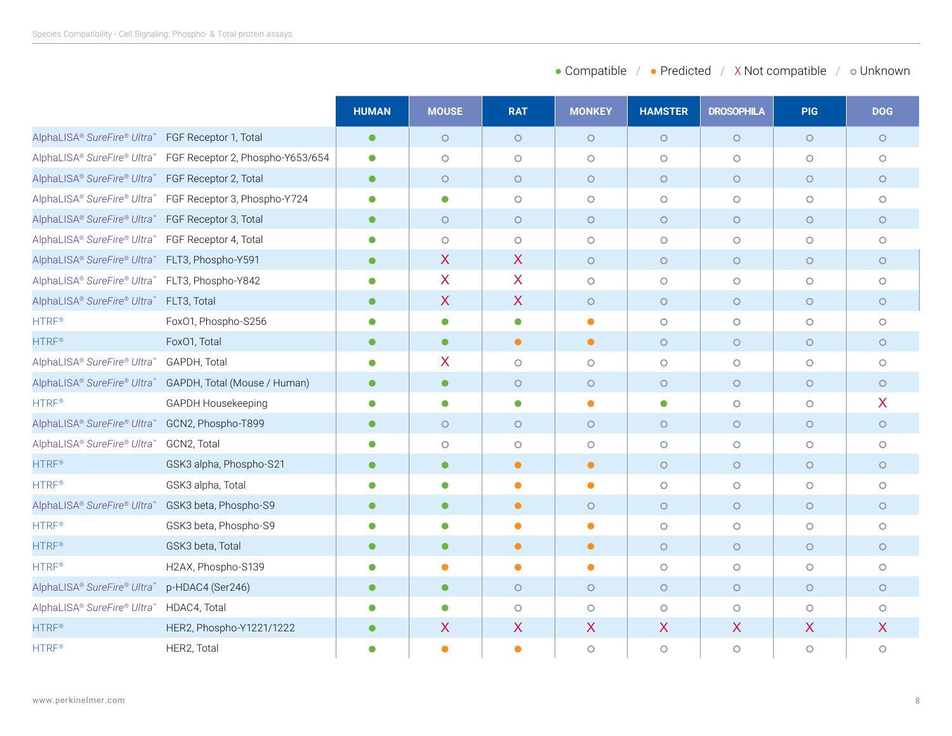| • Compatible<br>• Predicted | X Not compatible | o Unknown |
|-----------------------------|------------------|-----------|
|-----------------------------|------------------|-----------|

|                                                   |                                                          | <b>HUMAN</b> | <b>MOUSE</b>              | <b>RAT</b>   | <b>MONKEY</b> | <b>HAMSTER</b> | <b>DROSOPHILA</b>         | <b>PIG</b> | <b>DOG</b>                |
|---------------------------------------------------|----------------------------------------------------------|--------------|---------------------------|--------------|---------------|----------------|---------------------------|------------|---------------------------|
| AlphaLISA® SureFire® Ultra™ FGF Receptor 1, Total |                                                          | $\bullet$    | $\circ$                   | $\circ$      | $\circ$       | $\circ$        | $\circ$                   | $\circ$    | $\circ$                   |
| AlphaLISA® SureFire® Ultra™                       | FGF Receptor 2, Phospho-Y653/654                         | $\bullet$    | $\circ$                   | $\circ$      | $\circ$       | $\circ$        | $\circ$                   | $\circ$    | $\circ$                   |
| AlphaLISA® SureFire® Ultra™ FGF Receptor 2, Total |                                                          | $\bullet$    | $\circ$                   | $\circ$      | $\circ$       | $\circ$        | $\circ$                   | $\circ$    | $\circ$                   |
|                                                   | AlphaLISA® SureFire® Ultra™ FGF Receptor 3, Phospho-Y724 | $\bullet$    | $\bullet$                 | $\circ$      | $\circ$       | $\circ$        | $\circ$                   | $\circ$    | $\circ$                   |
| AlphaLISA® SureFire® Ultra™ FGF Receptor 3, Total |                                                          | $\bullet$    | $\circ$                   | $\circ$      | $\circ$       | $\circ$        | $\circ$                   | $\circ$    | $\circ$                   |
| AlphaLISA® SureFire® Ultra™ FGF Receptor 4, Total |                                                          | $\bullet$    | $\circ$                   | $\circ$      | $\circ$       | $\circ$        | $\circ$                   | $\circ$    | $\circ$                   |
| AlphaLISA® SureFire® Ultra™ FLT3, Phospho-Y591    |                                                          | $\bullet$    | $\boldsymbol{X}$          | X            | $\circ$       | $\circ$        | $\circ$                   | $\circ$    | $\circ$                   |
| AlphaLISA® SureFire® Ultra™ FLT3, Phospho-Y842    |                                                          | $\bullet$    | $\overline{X}$            | $\mathsf{X}$ | $\circ$       | $\circ$        | $\circ$                   | $\circ$    | $\circ$                   |
| AlphaLISA® SureFire® Ultra™ FLT3, Total           |                                                          | $\bullet$    | $\boldsymbol{\mathsf{X}}$ | $\mathsf{X}$ | $\circ$       | $\circ$        | $\circ$                   | $\circ$    | $\circ$                   |
| <b>HTRF®</b>                                      | FoxO1, Phospho-S256                                      | $\bullet$    | $\bullet$                 | $\bullet$    | $\bullet$     | $\circ$        | $\circ$                   | $\circ$    | $\circ$                   |
| <b>HTRF®</b>                                      | Fox01, Total                                             | $\bullet$    | $\bullet$                 | $\bullet$    | $\bullet$     | $\circ$        | $\circ$                   | $\circ$    | $\circ$                   |
| AlphaLISA® SureFire® Ultra™                       | GAPDH, Total                                             | $\bullet$    | X                         | $\circ$      | $\circ$       | $\circ$        | $\circ$                   | $\circ$    | $\circ$                   |
|                                                   | AlphaLISA® SureFire® Ultra™ GAPDH, Total (Mouse / Human) | $\bullet$    | $\bullet$                 | $\circ$      | $\circ$       | $\circ$        | $\circ$                   | $\circ$    | $\circ$                   |
| <b>HTRF®</b>                                      | GAPDH Housekeeping                                       | $\bullet$    | $\bullet$                 | $\bullet$    | $\bullet$     | $\bullet$      | $\circ$                   | $\circ$    | X                         |
| AlphaLISA® SureFire® Ultra™ GCN2, Phospho-T899    |                                                          | $\bullet$    | $\circ$                   | $\circ$      | $\circ$       | $\circ$        | $\circ$                   | $\circ$    | $\circ$                   |
| AlphaLISA® SureFire® Ultra™                       | GCN2, Total                                              | $\bullet$    | $\circ$                   | $\circ$      | $\circ$       | $\circ$        | $\circ$                   | $\circ$    | $\circ$                   |
| <b>HTRF®</b>                                      | GSK3 alpha, Phospho-S21                                  | $\bullet$    | $\bullet$                 | $\bullet$    | $\bullet$     | $\circ$        | $\circ$                   | $\circ$    | $\circ$                   |
| <b>HTRF®</b>                                      | GSK3 alpha, Total                                        | $\bullet$    | $\bullet$                 | $\bullet$    | $\bullet$     | $\circ$        | $\circ$                   | $\circ$    | $\circ$                   |
| AlphaLISA® SureFire® Ultra™                       | GSK3 beta, Phospho-S9                                    | $\bullet$    | $\bullet$                 | $\bullet$    | $\circ$       | $\circ$        | $\circ$                   | $\circ$    | $\circ$                   |
| <b>HTRF®</b>                                      | GSK3 beta, Phospho-S9                                    | $\bullet$    | $\bullet$                 | $\bullet$    | $\bullet$     | $\circ$        | $\circ$                   | $\circ$    | $\circ$                   |
| <b>HTRF®</b>                                      | GSK3 beta, Total                                         | $\bullet$    | $\bullet$                 | $\bullet$    | $\bullet$     | $\circ$        | $\circ$                   | $\circ$    | $\circ$                   |
| <b>HTRF®</b>                                      | H2AX, Phospho-S139                                       | $\bullet$    | $\bullet$                 | $\bullet$    | $\bullet$     | $\circ$        | $\circ$                   | $\circ$    | $\circ$                   |
| AlphaLISA® SureFire® Ultra™                       | p-HDAC4 (Ser246)                                         | $\bullet$    | $\bullet$                 | $\circ$      | $\circ$       | $\circ$        | $\circ$                   | $\circ$    | $\circ$                   |
| AlphaLISA® SureFire® Ultra™                       | HDAC4, Total                                             | $\bullet$    | $\bullet$                 | $\circ$      | $\circ$       | $\circ$        | $\circ$                   | $\circ$    | $\circ$                   |
| <b>HTRF®</b>                                      | HER2, Phospho-Y1221/1222                                 | $\bullet$    | $\boldsymbol{X}$          | X            | X             | $\mathsf{X}$   | $\boldsymbol{\mathsf{X}}$ | X          | $\boldsymbol{\mathsf{X}}$ |
| <b>HTRF®</b>                                      | HER2, Total                                              | $\bullet$    | $\bullet$                 | $\bullet$    | $\circ$       | $\circ$        | $\circ$                   | $\circ$    | $\circ$                   |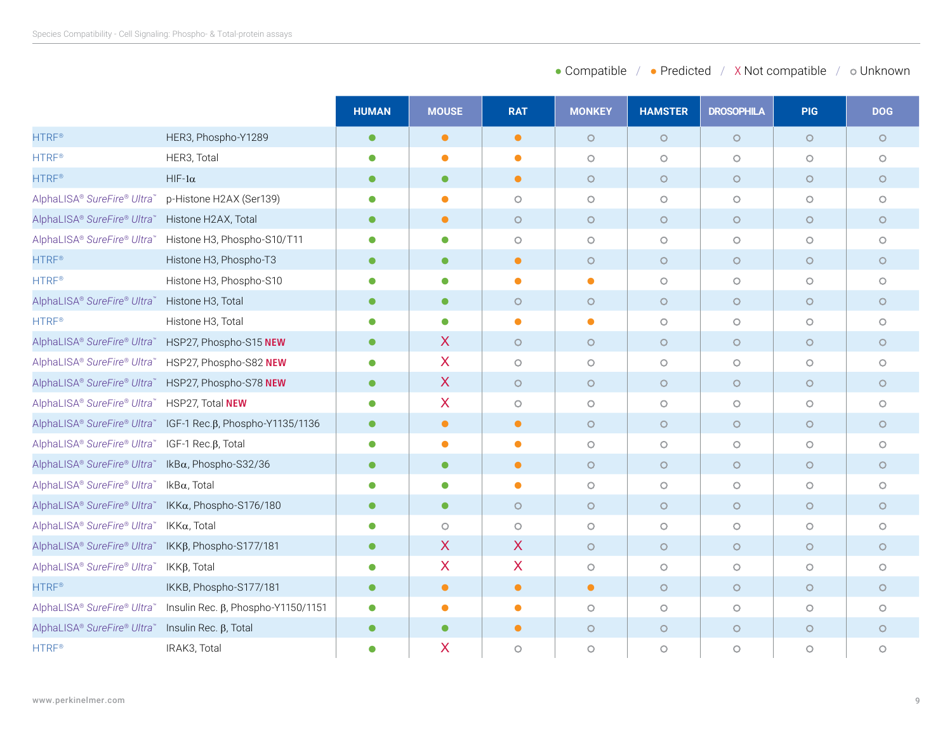| • Compatible<br>• Predicted | X Not compatible | o Unknown |
|-----------------------------|------------------|-----------|
|-----------------------------|------------------|-----------|

|                                                    |                                                             | <b>HUMAN</b> | <b>MOUSE</b>              | <b>RAT</b> | <b>MONKEY</b> | <b>HAMSTER</b>      | <b>DROSOPHILA</b> | <b>PIG</b> | <b>DOG</b> |
|----------------------------------------------------|-------------------------------------------------------------|--------------|---------------------------|------------|---------------|---------------------|-------------------|------------|------------|
| <b>HTRF®</b>                                       | HER3, Phospho-Y1289                                         | $\bullet$    | $\bullet$                 | $\bullet$  | $\circ$       | $\circ$             | $\circ$           | $\circ$    | $\circ$    |
| <b>HTRF®</b>                                       | HER3, Total                                                 | $\bullet$    | $\bullet$                 | $\bullet$  | $\circ$       | $\circ$             | $\circ$           | $\circ$    | $\circ$    |
| <b>HTRF®</b>                                       | $HIF-1\alpha$                                               | $\bullet$    | $\bullet$                 | $\bullet$  | $\circ$       | $\circ$             | $\circ$           | $\circ$    | $\circ$    |
| AlphaLISA® SureFire® Ultra™                        | p-Histone H2AX (Ser139)                                     | $\bullet$    | $\bullet$                 | $\circ$    | $\circ$       | $\circ$             | $\circ$           | $\circ$    | $\circ$    |
| AlphaLISA® SureFire® Ultra™                        | Histone H2AX, Total                                         | $\bullet$    | $\bullet$                 | $\circ$    | $\circ$       | $\circ$             | $\circ$           | $\circ$    | $\circ$    |
|                                                    | AlphaLISA® SureFire® Ultra™ Histone H3, Phospho-S10/T11     | $\bullet$    | $\bullet$                 | $\circ$    | $\circ$       | $\circ$             | $\circ$           | $\circ$    | $\circ$    |
| <b>HTRF®</b>                                       | Histone H3, Phospho-T3                                      | $\bullet$    | $\bullet$                 | $\bullet$  | $\circ$       | $\circ$             | $\circ$           | $\circ$    | $\circ$    |
| <b>HTRF®</b>                                       | Histone H3, Phospho-S10                                     | $\bullet$    | $\bullet$                 | $\bullet$  | $\bullet$     | $\circ$             | $\circ$           | $\circ$    | $\circ$    |
| AlphaLISA® SureFire® Ultra™                        | Histone H3, Total                                           | $\bullet$    | $\bullet$                 | $\circ$    | $\circ$       | $\circ$             | $\circ$           | $\circ$    | $\circ$    |
| <b>HTRF®</b>                                       | Histone H3, Total                                           | $\bullet$    | $\bullet$                 | $\bullet$  | $\bullet$     | $\circ$             | $\circ$           | $\circ$    | $\circ$    |
| AlphaLISA® SureFire® Ultra™ HSP27, Phospho-S15 NEW |                                                             | $\bullet$    | $\boldsymbol{X}$          | $\circ$    | $\circ$       | $\circ$             | $\circ$           | $\circ$    | $\circ$    |
| AlphaLISA® SureFire® Ultra™                        | HSP27, Phospho-S82 NEW                                      | $\bullet$    | X                         | $\circ$    | $\circ$       | $\circ$             | $\circ$           | $\circ$    | $\circ$    |
| AlphaLISA® SureFire® Ultra™ HSP27, Phospho-S78 NEW |                                                             | $\bullet$    | $\mathsf{X}$              | $\circ$    | $\circ$       | $\circ$             | $\circ$           | $\circ$    | $\circ$    |
| AlphaLISA® SureFire® Ultra™ HSP27, Total NEW       |                                                             | $\bullet$    | $\overline{\mathsf{X}}$   | $\circ$    | $\circ$       | $\circ$             | $\circ$           | $\circ$    | $\circ$    |
|                                                    | AlphaLISA® SureFire® Ultra™ IGF-1 Rec.β, Phospho-Y1135/1136 | $\bullet$    | $\bullet$                 | $\bullet$  | $\circ$       | $\circ$             | $\circ$           | $\circ$    | $\circ$    |
| AlphaLISA® SureFire® Ultra™                        | IGF-1 Rec. $\beta$ , Total                                  | $\bullet$    | $\bullet$                 | $\bullet$  | $\circ$       | $\circ$             | $\circ$           | $\circ$    | $\circ$    |
| AlphaLISA® SureFire® Ultra™ IkBα, Phospho-S32/36   |                                                             | $\bullet$    | $\bullet$                 | $\bullet$  | $\circ$       | $\circ$             | $\circ$           | $\circ$    | $\circ$    |
| AlphaLISA® SureFire® Ultra™                        | IkB $\alpha$ , Total                                        | $\bullet$    | $\bullet$                 | $\bullet$  | $\circ$       | $\bigcirc$          | $\circ$           | $\circ$    | $\circ$    |
| AlphaLISA® SureFire® Ultra™ IKKα, Phospho-S176/180 |                                                             | $\bullet$    | $\bullet$                 | $\circ$    | $\circ$       | $\circ$             | $\circ$           | $\circ$    | $\circ$    |
| AlphaLISA® SureFire® Ultra™ IKKα, Total            |                                                             |              | $\circ$                   | $\circ$    | $\circ$       | $\circ$             | $\circ$           | $\circ$    | $\circ$    |
| AlphaLISA® SureFire® Ultra™ IKKβ, Phospho-S177/181 |                                                             | $\bullet$    | $\boldsymbol{X}$          | X          | $\circ$       | $\circ$             | $\circ$           | $\circ$    | $\circ$    |
| AlphaLISA® SureFire® Ultra™                        | IKKβ, Total                                                 | $\bullet$    | $\boldsymbol{\mathsf{X}}$ | X          | $\circ$       | $\circ$             | $\circ$           | $\circ$    | $\circ$    |
| <b>HTRF®</b>                                       | IKKB, Phospho-S177/181                                      | $\bullet$    | $\bullet$                 | $\bullet$  | $\bullet$     | $\circ$             | $\circ$           | $\circ$    | $\circ$    |
| AlphaLISA® SureFire® Ultra™                        | Insulin Rec. $\beta$ , Phospho-Y1150/1151                   | $\bullet$    | $\bullet$                 | $\bullet$  | $\circ$       | $\circlearrowright$ | $\circ$           | $\circ$    | $\circ$    |
| AlphaLISA® SureFire® Ultra™                        | Insulin Rec. $\beta$ , Total                                | $\bullet$    | $\bullet$                 | $\bullet$  | $\circ$       | $\circ$             | $\circ$           | $\circ$    | $\circ$    |
| <b>HTRF®</b>                                       | IRAK3, Total                                                | $\bullet$    | X                         | $\circ$    | $\circ$       | $\circ$             | $\circ$           | $\circ$    | $\circ$    |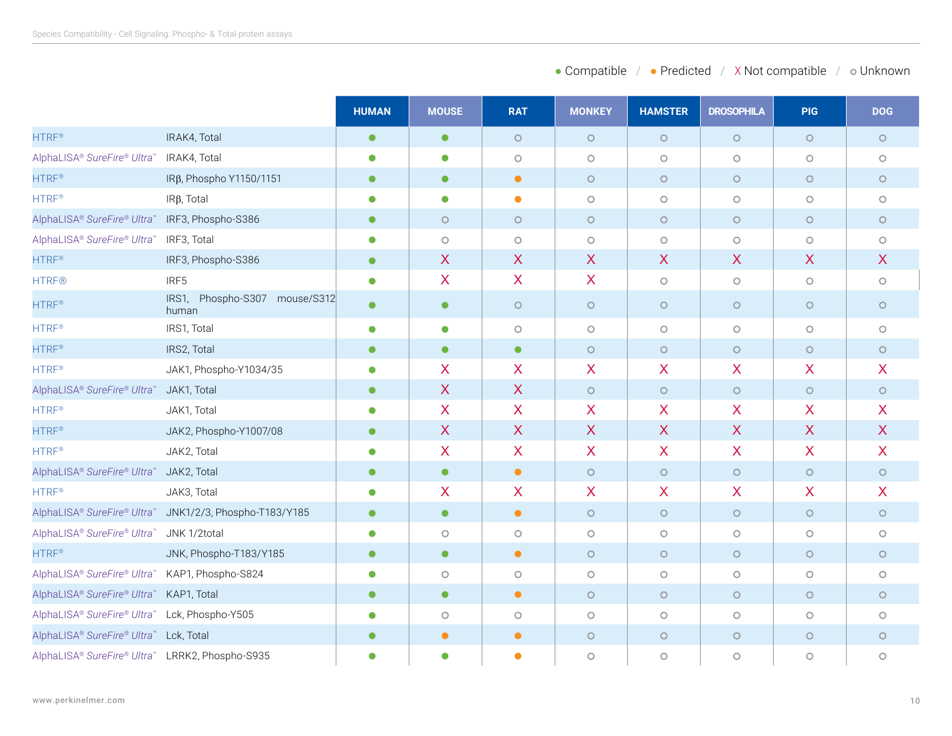| • Compatible<br>• Predicted | X Not compatible | o Unknown |
|-----------------------------|------------------|-----------|
|-----------------------------|------------------|-----------|

|                                                 |                                                         | <b>HUMAN</b> | <b>MOUSE</b>     | <b>RAT</b>              | <b>MONKEY</b>           | <b>HAMSTER</b>      | <b>DROSOPHILA</b>         | <b>PIG</b>       | <b>DOG</b>                |
|-------------------------------------------------|---------------------------------------------------------|--------------|------------------|-------------------------|-------------------------|---------------------|---------------------------|------------------|---------------------------|
| <b>HTRF®</b>                                    | IRAK4, Total                                            | $\bullet$    | $\bullet$        | $\circ$                 | $\circ$                 | $\circ$             | $\circ$                   | $\circ$          | $\circ$                   |
| AlphaLISA® SureFire® Ultra™                     | IRAK4, Total                                            | $\bullet$    | $\bullet$        | $\circ$                 | $\bigcirc$              | $\bigcirc$          | $\circ$                   | $\circ$          | $\circ$                   |
| <b>HTRF®</b>                                    | IRβ, Phospho Y1150/1151                                 | $\bullet$    | $\bullet$        | $\bullet$               | $\circ$                 | $\circ$             | $\circ$                   | $\circ$          | $\circ$                   |
| <b>HTRF®</b>                                    | $IR\beta$ , Total                                       | $\bullet$    | $\bullet$        | $\bullet$               | $\circ$                 | $\circlearrowright$ | $\circ$                   | $\circ$          | $\circ$                   |
| AlphaLISA® SureFire® Ultra™                     | IRF3, Phospho-S386                                      | $\bullet$    | $\circ$          | $\circ$                 | $\circ$                 | $\circ$             | $\circ$                   | $\circ$          | $\circ$                   |
| AlphaLISA® SureFire® Ultra™                     | IRF3, Total                                             | 0            | $\circ$          | $\circ$                 | $\circ$                 | $\bigcirc$          | $\circ$                   | $\circ$          | $\circ$                   |
| <b>HTRF®</b>                                    | IRF3, Phospho-S386                                      | $\bullet$    | $\sf X$          | X                       | X                       | X                   | $\boldsymbol{\mathsf{X}}$ | X                | $\boldsymbol{\mathsf{X}}$ |
| <b>HTRF®</b>                                    | IRF5                                                    | $\bullet$    | X                | $\overline{\mathsf{X}}$ | $\overline{\mathsf{X}}$ | $\bigcirc$          | $\circ$                   | $\circ$          | $\bigcirc$                |
| <b>HTRF®</b>                                    | Phospho-S307<br>IRS1,<br>mouse/S312<br>human            | $\bullet$    | $\bullet$        | $\circ$                 | $\circ$                 | $\circ$             | $\circ$                   | $\circ$          | $\circ$                   |
| <b>HTRF®</b>                                    | IRS1, Total                                             | $\bullet$    | $\bullet$        | $\circ$                 | $\circ$                 | $\circ$             | $\circ$                   | $\circ$          | $\circ$                   |
| <b>HTRF®</b>                                    | IRS2, Total                                             | $\bullet$    | $\bullet$        | $\bullet$               | $\circ$                 | $\circ$             | $\circ$                   | $\circ$          | $\circ$                   |
| <b>HTRF®</b>                                    | JAK1, Phospho-Y1034/35                                  | $\bullet$    | X                | X                       | X                       | X                   | $\boldsymbol{\mathsf{X}}$ | X                | $\mathsf{X}$              |
| AlphaLISA® SureFire® Ultra™                     | JAK1, Total                                             | $\bullet$    | $\sf X$          | $\mathsf{X}$            | $\circ$                 | $\circ$             | $\circ$                   | $\circ$          | $\circ$                   |
| <b>HTRF®</b>                                    | JAK1, Total                                             | $\bullet$    | $\boldsymbol{X}$ | X                       | X                       | X                   | X                         | X                | X                         |
| <b>HTRF®</b>                                    | JAK2, Phospho-Y1007/08                                  | $\bullet$    | $\boldsymbol{X}$ | X                       | $\sf X$                 | X                   | $\boldsymbol{\mathsf{X}}$ | $\boldsymbol{X}$ | $\boldsymbol{X}$          |
| HTRF <sup>®</sup>                               | JAK2, Total                                             | $\bullet$    | X                | X                       | X                       | X                   | $\boldsymbol{\mathsf{X}}$ | X                | X                         |
| AlphaLISA® SureFire® Ultra™                     | JAK2, Total                                             | $\bullet$    | $\bullet$        | $\bullet$               | $\circ$                 | $\circ$             | $\circ$                   | $\circ$          | $\circ$                   |
| <b>HTRF®</b>                                    | JAK3, Total                                             | $\bullet$    | X                | X.                      | X                       | X                   | $\boldsymbol{\mathsf{X}}$ | X                | X                         |
|                                                 | AlphaLISA® SureFire® Ultra™ JNK1/2/3, Phospho-T183/Y185 | $\bullet$    | $\bullet$        | $\bullet$               | $\circ$                 | $\circ$             | $\circ$                   | $\circ$          | $\circ$                   |
| AlphaLISA® SureFire® Ultra™ JNK 1/2total        |                                                         | $\bullet$    | $\circ$          | $\circ$                 | $\circ$                 | $\bigcirc$          | $\circ$                   | $\circ$          | $\circ$                   |
| <b>HTRF®</b>                                    | JNK, Phospho-T183/Y185                                  | $\bullet$    | $\bullet$        | $\bullet$               | $\circ$                 | $\circ$             | $\circ$                   | $\circ$          | $\circ$                   |
| AlphaLISA® SureFire® Ultra™ KAP1, Phospho-S824  |                                                         | $\bullet$    | $\circ$          | $\circ$                 | $\circ$                 | $\circ$             | $\circ$                   | $\circ$          | $\circ$                   |
| AlphaLISA® SureFire® Ultra™ KAP1, Total         |                                                         | $\bullet$    | $\bullet$        | $\bullet$               | $\circ$                 | $\circ$             | $\circ$                   | $\circ$          | $\circ$                   |
| AlphaLISA® SureFire® Ultra™ Lck, Phospho-Y505   |                                                         | $\bullet$    | $\circ$          | $\circ$                 | $\circ$                 | $\circ$             | $\circ$                   | $\circ$          | $\circ$                   |
| AlphaLISA® SureFire® Ultra™ Lck, Total          |                                                         | $\bullet$    | $\bullet$        | $\bullet$               | $\circ$                 | $\circ$             | $\circ$                   | $\circ$          | $\circ$                   |
| AlphaLISA® SureFire® Ultra™ LRRK2, Phospho-S935 |                                                         | $\bullet$    | $\bullet$        | $\bullet$               | $\circ$                 | $\circ$             | $\circ$                   | $\circ$          | $\circ$                   |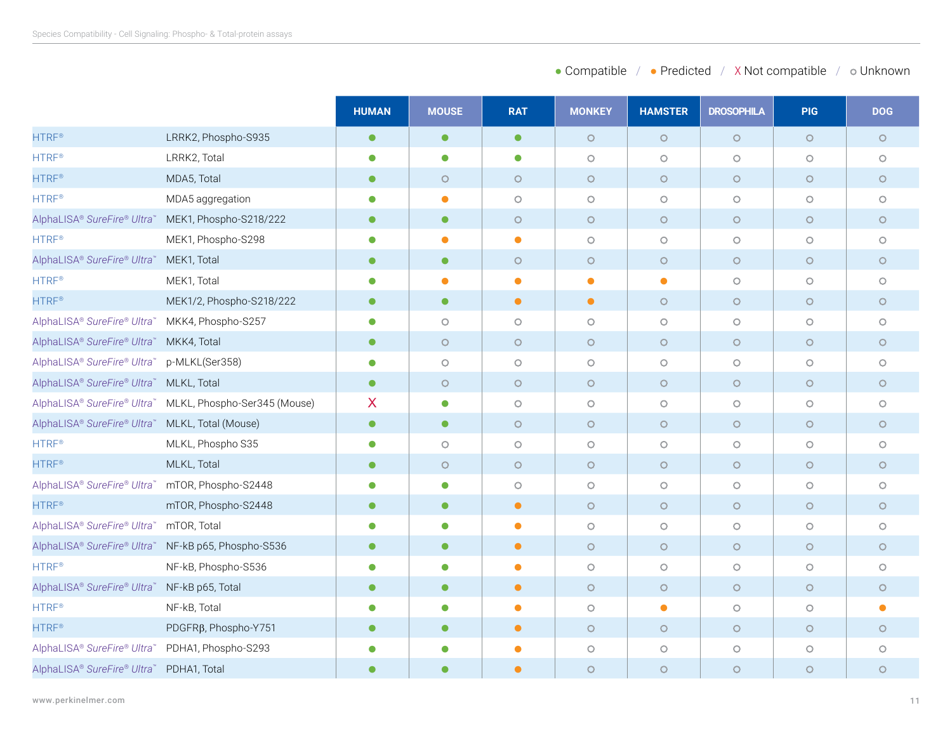| • Compatible<br>• Predicted | X Not compatible | o Unknown |
|-----------------------------|------------------|-----------|
|-----------------------------|------------------|-----------|

|                                                     |                                                          | <b>HUMAN</b> | <b>MOUSE</b> | <b>RAT</b> | <b>MONKEY</b> | <b>HAMSTER</b>      | <b>DROSOPHILA</b>   | <b>PIG</b> | <b>DOG</b> |
|-----------------------------------------------------|----------------------------------------------------------|--------------|--------------|------------|---------------|---------------------|---------------------|------------|------------|
| <b>HTRF®</b>                                        | LRRK2, Phospho-S935                                      | $\bullet$    | $\bullet$    | $\bullet$  | $\circ$       | $\circ$             | $\circ$             | $\circ$    | $\circ$    |
| <b>HTRF®</b>                                        | LRRK2, Total                                             | $\bullet$    | $\bullet$    | $\bullet$  | $\circ$       | $\circ$             | $\circ$             | $\circ$    | $\circ$    |
| <b>HTRF®</b>                                        | MDA5, Total                                              | $\bullet$    | $\circ$      | $\circ$    | $\circ$       | $\circ$             | $\circ$             | $\circ$    | $\circ$    |
| <b>HTRF®</b>                                        | MDA5 aggregation                                         | $\bullet$    | $\bullet$    | $\circ$    | $\circ$       | $\bigcirc$          | $\circ$             | $\circ$    | $\circ$    |
| AlphaLISA® SureFire® Ultra™ MEK1, Phospho-S218/222  |                                                          | $\bullet$    | $\bullet$    | $\circ$    | $\circ$       | $\circ$             | $\circ$             | $\circ$    | $\circ$    |
| <b>HTRF®</b>                                        | MEK1, Phospho-S298                                       | $\bullet$    | $\bullet$    | $\bullet$  | $\circ$       | $\circlearrowright$ | $\circ$             | $\circ$    | $\circ$    |
| AlphaLISA® SureFire® Ultra™ MEK1, Total             |                                                          | $\bullet$    | $\bullet$    | $\circ$    | $\circ$       | $\circ$             | $\circ$             | $\circ$    | $\circ$    |
| HTRF <sup>®</sup>                                   | MEK1, Total                                              | О            | Ο            | $\bullet$  | $\bullet$     | $\bullet$           | $\circ$             | $\circ$    | $\circ$    |
| <b>HTRF®</b>                                        | MEK1/2, Phospho-S218/222                                 | $\bullet$    | $\bullet$    | $\bullet$  | $\bullet$     | $\circ$             | $\circ$             | $\circ$    | $\circ$    |
| AlphaLISA® SureFire® Ultra™ MKK4, Phospho-S257      |                                                          | $\bullet$    | $\circ$      | $\circ$    | $\circ$       | $\circlearrowright$ | $\circlearrowright$ | $\circ$    | $\circ$    |
| AlphaLISA® SureFire® Ultra™ MKK4, Total             |                                                          | $\bullet$    | $\circ$      | $\circ$    | $\circ$       | $\circ$             | $\circ$             | $\circ$    | $\circ$    |
| AlphaLISA® SureFire® Ultra™                         | p-MLKL(Ser358)                                           | $\bullet$    | $\circ$      | $\circ$    | $\circ$       | $\circ$             | $\circ$             | $\circ$    | $\circ$    |
| AlphaLISA® SureFire® Ultra™ MLKL, Total             |                                                          | $\bullet$    | $\circ$      | $\circ$    | $\circ$       | $\circ$             | $\circ$             | $\circ$    | $\circ$    |
|                                                     | AlphaLISA® SureFire® Ultra™ MLKL, Phospho-Ser345 (Mouse) | X            | $\bullet$    | $\circ$    | $\circ$       | $\bigcirc$          | $\circ$             | $\circ$    | $\circ$    |
| AlphaLISA® SureFire® Ultra™ MLKL, Total (Mouse)     |                                                          | $\bullet$    | $\bullet$    | $\circ$    | $\circ$       | $\bigcirc$          | $\circ$             | $\circ$    | $\circ$    |
| <b>HTRF®</b>                                        | MLKL, Phospho S35                                        | 0            | $\circ$      | $\circ$    | $\circ$       | $\circ$             | $\circ$             | $\circ$    | $\circ$    |
| <b>HTRF®</b>                                        | MLKL, Total                                              | $\bullet$    | $\circ$      | $\circ$    | $\circ$       | $\circ$             | $\circ$             | $\circ$    | $\circ$    |
| AlphaLISA® SureFire® Ultra™ mTOR, Phospho-S2448     |                                                          | $\bullet$    | $\bullet$    | $\circ$    | $\circ$       | $\circ$             | $\circ$             | $\circ$    | $\circ$    |
| <b>HTRF®</b>                                        | mTOR, Phospho-S2448                                      | $\bullet$    | $\bullet$    | $\bullet$  | $\circ$       | $\circ$             | $\circ$             | $\circ$    | $\circ$    |
| AlphaLISA® SureFire® Ultra™                         | mTOR, Total                                              |              | $\bullet$    | $\bullet$  | $\circ$       | $\circ$             | $\circ$             | $\circ$    | $\circ$    |
| AlphaLISA® SureFire® Ultra™ NF-kB p65, Phospho-S536 |                                                          | $\bullet$    | $\bullet$    | $\bullet$  | $\circ$       | $\circ$             | $\circ$             | $\circ$    | $\circ$    |
| <b>HTRF®</b>                                        | NF-kB, Phospho-S536                                      |              | $\bullet$    | $\bullet$  | $\circ$       | $\circ$             | $\circ$             | $\circ$    | $\circ$    |
| AlphaLISA® SureFire® Ultra™ NF-kB p65, Total        |                                                          | $\bullet$    | $\bullet$    | $\bullet$  | $\circ$       | $\circ$             | $\circ$             | $\circ$    | $\circ$    |
| HTRF <sup>®</sup>                                   | NF-kB, Total                                             | $\bullet$    | $\bullet$    | $\bullet$  | $\bigcirc$    | $\bullet$           | $\circlearrowright$ | $\circ$    | $\bullet$  |
| <b>HTRF®</b>                                        | PDGFR <sub>B</sub> , Phospho-Y751                        | $\bullet$    | $\bullet$    | $\bullet$  | $\circ$       | $\circ$             | $\circ$             | $\circ$    | $\circ$    |
| AlphaLISA® SureFire® Ultra™ PDHA1, Phospho-S293     |                                                          |              | $\bullet$    | $\bullet$  | $\circ$       | $\circlearrowright$ | $\circ$             | $\circ$    | $\circ$    |
| AlphaLISA® SureFire® Ultra™ PDHA1, Total            |                                                          |              | ●            | $\bullet$  | $\circ$       | $\circ$             | $\circ$             | $\circ$    | $\circ$    |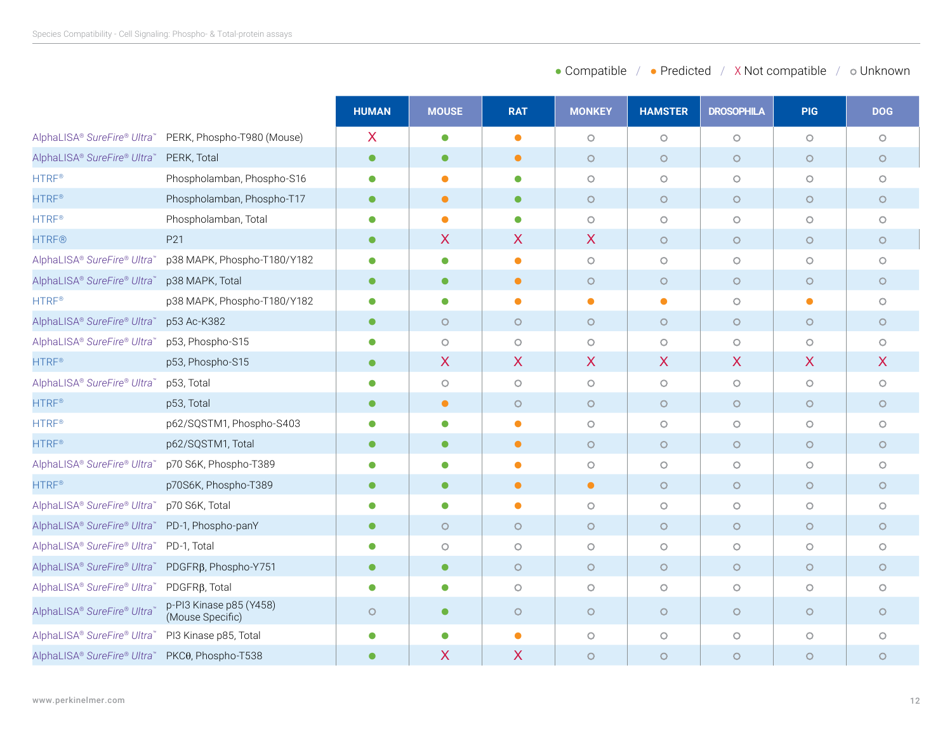|                                                |                                             | <b>HUMAN</b> | <b>MOUSE</b>              | <b>RAT</b> | <b>MONKEY</b> | <b>HAMSTER</b> | <b>DROSOPHILA</b>         | <b>PIG</b>                | <b>DOG</b>       |
|------------------------------------------------|---------------------------------------------|--------------|---------------------------|------------|---------------|----------------|---------------------------|---------------------------|------------------|
| AlphaLISA® SureFire® Ultra™                    | PERK, Phospho-T980 (Mouse)                  | X            | $\bullet$                 | $\bullet$  | $\circ$       | $\circ$        | $\circ$                   | $\circ$                   | $\circ$          |
| AlphaLISA® SureFire® Ultra™ PERK, Total        |                                             | $\bullet$    | $\bullet$                 | $\bullet$  | $\circ$       | $\circ$        | $\circ$                   | $\circ$                   | $\circ$          |
| <b>HTRF®</b>                                   | Phospholamban, Phospho-S16                  | $\bullet$    | $\bullet$                 | $\bullet$  | $\circ$       | $\bigcirc$     | $\circ$                   | $\circ$                   | $\circ$          |
| <b>HTRF®</b>                                   | Phospholamban, Phospho-T17                  | $\bullet$    | $\bullet$                 | $\bullet$  | $\circ$       | $\circ$        | $\circ$                   | $\circ$                   | $\circ$          |
| $HTRF^*$                                       | Phospholamban, Total                        | $\bullet$    | $\bullet$                 | $\bullet$  | $\circ$       | $\bigcirc$     | $\circ$                   | $\circ$                   | $\circ$          |
| <b>HTRF®</b>                                   | P21                                         | $\bullet$    | $\boldsymbol{\mathsf{X}}$ | X          | $\mathsf{X}$  | $\circ$        | $\circ$                   | $\circ$                   | $\circ$          |
| AlphaLISA® SureFire® Ultra™                    | p38 MAPK, Phospho-T180/Y182                 | $\bullet$    | $\bullet$                 | $\bullet$  | $\circ$       | $\bigcirc$     | $\circ$                   | $\circ$                   | $\circ$          |
| AlphaLISA® SureFire® Ultra™                    | p38 MAPK, Total                             | $\bullet$    | $\bullet$                 | $\bullet$  | $\circ$       | $\circ$        | $\circ$                   | $\circ$                   | $\circ$          |
| <b>HTRF®</b>                                   | p38 MAPK, Phospho-T180/Y182                 | $\bullet$    | $\bullet$                 | $\bullet$  | $\bullet$     | $\bullet$      | $\circ$                   | $\bullet$                 | $\circ$          |
| AlphaLISA® SureFire® Ultra                     | p53 Ac-K382                                 | $\bullet$    | $\circ$                   | $\circ$    | $\circ$       | $\circ$        | $\circ$                   | $\circ$                   | $\circ$          |
| AlphaLISA® SureFire® Ultra™                    | p53, Phospho-S15                            | $\bullet$    | $\circ$                   | $\circ$    | $\circ$       | $\circ$        | $\circ$                   | $\circ$                   | $\circ$          |
| <b>HTRF®</b>                                   | p53, Phospho-S15                            | $\bullet$    | X                         | X          | X             | X.             | $\boldsymbol{\mathsf{X}}$ | $\boldsymbol{\mathsf{X}}$ | $\boldsymbol{X}$ |
| AlphaLISA® SureFire® Ultra™                    | p53, Total                                  | $\bullet$    | $\circ$                   | $\circ$    | $\circ$       | $\circ$        | $\circ$                   | $\circ$                   | $\circ$          |
| <b>HTRF®</b>                                   | p53, Total                                  | $\bullet$    | $\bullet$                 | $\circ$    | $\circ$       | $\circ$        | $\circ$                   | $\circ$                   | $\circ$          |
| <b>HTRF®</b>                                   | p62/SQSTM1, Phospho-S403                    | $\bullet$    | $\bullet$                 | $\bullet$  | $\circ$       | $\bigcirc$     | $\circ$                   | $\circ$                   | $\circ$          |
| <b>HTRF®</b>                                   | p62/SQSTM1, Total                           | $\bullet$    | $\bullet$                 | $\bullet$  | $\circ$       | $\circ$        | $\circ$                   | $\circ$                   | $\circ$          |
| AlphaLISA® SureFire® Ultra™                    | p70 S6K, Phospho-T389                       | $\bullet$    | $\bullet$                 | $\bullet$  | $\circ$       | $\bigcirc$     | $\bigcirc$                | $\circ$                   | $\circ$          |
| <b>HTRF®</b>                                   | p70S6K, Phospho-T389                        | $\bullet$    | $\bullet$                 | $\bullet$  | $\bullet$     | $\circ$        | $\bigcirc$                | $\circ$                   | $\circ$          |
| AlphaLISA® SureFire® Ultra™                    | p70 S6K, Total                              | $\bullet$    | $\bullet$                 | $\bullet$  | $\circ$       | $\circ$        | $\circ$                   | $\circ$                   | $\circ$          |
| AlphaLISA® SureFire® Ultra™ PD-1, Phospho-panY |                                             | $\bullet$    | $\circ$                   | $\circ$    | $\circ$       | $\circ$        | $\circ$                   | $\circ$                   | $\circ$          |
| AlphaLISA® SureFire® Ultra™                    | PD-1, Total                                 | $\bullet$    | $\circ$                   | $\circ$    | $\circ$       | $\bigcirc$     | $\circ$                   | $\circ$                   | $\circ$          |
| AlphaLISA® SureFire® Ultra™                    | PDGFR <sub>B</sub> , Phospho-Y751           | $\bullet$    | $\bullet$                 | $\circ$    | $\circ$       | $\circ$        | $\circ$                   | $\circ$                   | $\circ$          |
| AlphaLISA® SureFire® Ultra™                    | PDGFR <sub>B</sub> , Total                  | $\bullet$    | $\bullet$                 | $\circ$    | $\circ$       | $\bigcirc$     | $\circ$                   | $\circ$                   | $\circ$          |
| AlphaLISA® SureFire® Ultra™                    | p-PI3 Kinase p85 (Y458)<br>(Mouse Specific) | $\circ$      | $\bullet$                 | $\circ$    | $\circ$       | $\circ$        | $\circ$                   | $\circ$                   | $\circ$          |
| AlphaLISA® SureFire® Ultra™                    | PI3 Kinase p85, Total                       | $\bullet$    | $\bullet$                 | $\bullet$  | $\circ$       | $\circ$        | $\circ$                   | $\circ$                   | $\circ$          |
| AlphaLISA® SureFire® Ultra™ PKC0, Phospho-T538 |                                             |              | X                         | X          | $\circ$       | $\circ$        | $\circ$                   | $\circ$                   | $\circ$          |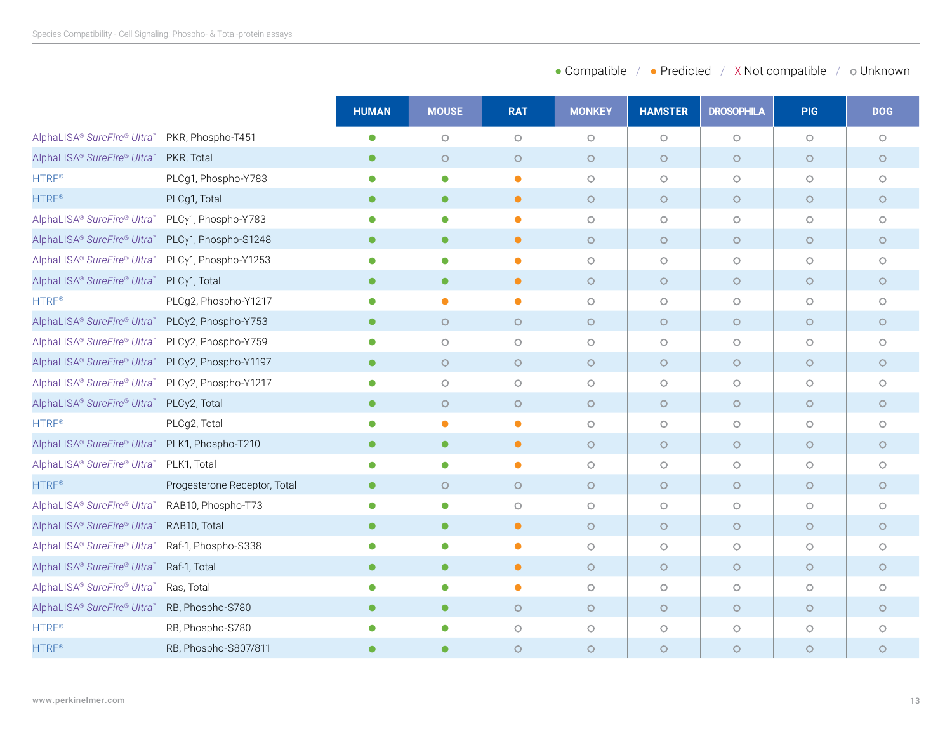|                                                  |                              | <b>HUMAN</b> | <b>MOUSE</b> | <b>RAT</b> | <b>MONKEY</b> | <b>HAMSTER</b>      | <b>DROSOPHILA</b> | <b>PIG</b> | <b>DOG</b> |
|--------------------------------------------------|------------------------------|--------------|--------------|------------|---------------|---------------------|-------------------|------------|------------|
| AlphaLISA® SureFire® Ultra™                      | PKR, Phospho-T451            | $\bullet$    | $\circ$      | $\circ$    | $\circ$       | $\circ$             | $\circ$           | $\circ$    | $\circ$    |
| AlphaLISA® SureFire® Ultra™ PKR, Total           |                              | $\bullet$    | $\circ$      | $\circ$    | $\circ$       | $\circ$             | $\circ$           | $\circ$    | $\circ$    |
| <b>HTRF®</b>                                     | PLCg1, Phospho-Y783          | $\bullet$    | $\bullet$    | $\bullet$  | $\circ$       | $\circ$             | $\circ$           | $\circ$    | $\circ$    |
| <b>HTRF®</b>                                     | PLCg1, Total                 | $\bullet$    | $\bullet$    | $\bullet$  | $\circ$       | $\circ$             | $\circ$           | $\circ$    | $\circ$    |
| AlphaLISA® SureFire® Ultra™ PLCγ1, Phospho-Y783  |                              | $\bullet$    | $\bullet$    | $\bullet$  | $\circ$       | $\circ$             | $\circ$           | $\circ$    | $\circ$    |
| AlphaLISA® SureFire® Ultra™ PLCγ1, Phospho-S1248 |                              | $\bullet$    | $\bullet$    | $\bullet$  | $\circ$       | $\circ$             | $\circ$           | $\circ$    | $\circ$    |
| AlphaLISA® SureFire® Ultra™                      | PLCy1, Phospho-Y1253         | $\bullet$    | $\bullet$    | $\bullet$  | $\circ$       | $\circlearrowright$ | $\circ$           | $\circ$    | $\circ$    |
| AlphaLISA® SureFire® Ultra™                      | PLCy1, Total                 | $\bullet$    | $\bullet$    | $\bullet$  | $\circ$       | $\circ$             | $\circ$           | $\circ$    | $\circ$    |
| <b>HTRF®</b>                                     | PLCg2, Phospho-Y1217         | $\bullet$    | $\bullet$    | $\bullet$  | $\circ$       | $\bigcirc$          | $\circ$           | $\circ$    | $\circ$    |
| AlphaLISA® SureFire® Ultra™ PLCy2, Phospho-Y753  |                              | $\bullet$    | $\circ$      | $\circ$    | $\circ$       | $\circ$             | $\circ$           | $\circ$    | $\circ$    |
| AlphaLISA® SureFire® Ultra™ PLCy2, Phospho-Y759  |                              | $\bullet$    | $\circ$      | $\circ$    | $\circ$       | $\circ$             | $\circ$           | $\circ$    | $\circ$    |
| AlphaLISA® SureFire® Ultra™ PLCy2, Phospho-Y1197 |                              | $\bullet$    | $\circ$      | $\circ$    | $\circ$       | $\circ$             | $\circ$           | $\circ$    | $\circ$    |
| AlphaLISA® SureFire® Ultra™ PLCy2, Phospho-Y1217 |                              | $\bullet$    | $\circ$      | $\circ$    | $\circ$       | $\circ$             | $\circ$           | $\circ$    | $\circ$    |
| AlphaLISA® SureFire® Ultra™ PLCy2, Total         |                              | $\bullet$    | $\circ$      | $\circ$    | $\circ$       | $\circ$             | $\circ$           | $\circ$    | $\circ$    |
| <b>HTRF®</b>                                     | PLCg2, Total                 | $\bullet$    | $\bullet$    | $\bullet$  | $\circ$       | $\circ$             | $\circ$           | $\circ$    | $\circ$    |
| AlphaLISA® SureFire® Ultra™ PLK1, Phospho-T210   |                              | $\bullet$    | $\bullet$    | $\bullet$  | $\circ$       | $\circ$             | $\circ$           | $\circ$    | $\circ$    |
| AlphaLISA® SureFire® Ultra™ PLK1, Total          |                              | $\bullet$    | $\bullet$    | $\bullet$  | $\circ$       | $\bigcirc$          | $\circ$           | $\circ$    | $\circ$    |
| <b>HTRF®</b>                                     | Progesterone Receptor, Total | $\bullet$    | $\circ$      | $\circ$    | $\circ$       | $\circ$             | $\circ$           | $\circ$    | $\circ$    |
| AlphaLISA® SureFire® Ultra™ RAB10, Phospho-T73   |                              | $\bullet$    | $\bullet$    | $\circ$    | $\circ$       | $\circ$             | $\circ$           | $\circ$    | $\circ$    |
| AlphaLISA® SureFire® Ultra™ RAB10, Total         |                              | $\bullet$    | $\bullet$    | $\bullet$  | $\circ$       | $\circ$             | $\circ$           | $\circ$    | $\circ$    |
| AlphaLISA® SureFire® Ultra™                      | Raf-1, Phospho-S338          | $\bullet$    | $\bullet$    | $\bullet$  | $\circ$       | $\circlearrowright$ | $\circ$           | $\circ$    | $\circ$    |
| AlphaLISA® SureFire® Ultra™ Raf-1, Total         |                              | $\bullet$    | $\bullet$    | $\bullet$  | $\circ$       | $\circ$             | $\circ$           | $\circ$    | $\circ$    |
| AlphaLISA® SureFire® Ultra™ Ras, Total           |                              | $\bullet$    | $\bullet$    | $\bullet$  | $\circ$       | $\circ$             | $\circ$           | $\circ$    | $\circ$    |
| AlphaLISA® SureFire® Ultra™ RB, Phospho-S780     |                              | $\bullet$    | $\bullet$    | $\circ$    | $\circ$       | $\circ$             | $\circ$           | $\circ$    | $\circ$    |
| HTRF <sup>®</sup>                                | RB, Phospho-S780             | $\bullet$    | $\bullet$    | $\circ$    | $\circ$       | $\bigcirc$          | $\circ$           | $\circ$    | $\bigcirc$ |
| <b>HTRF®</b>                                     | RB, Phospho-S807/811         | ●            | $\bullet$    | $\circ$    | $\circ$       | $\circ$             | $\circ$           | $\circ$    | $\circ$    |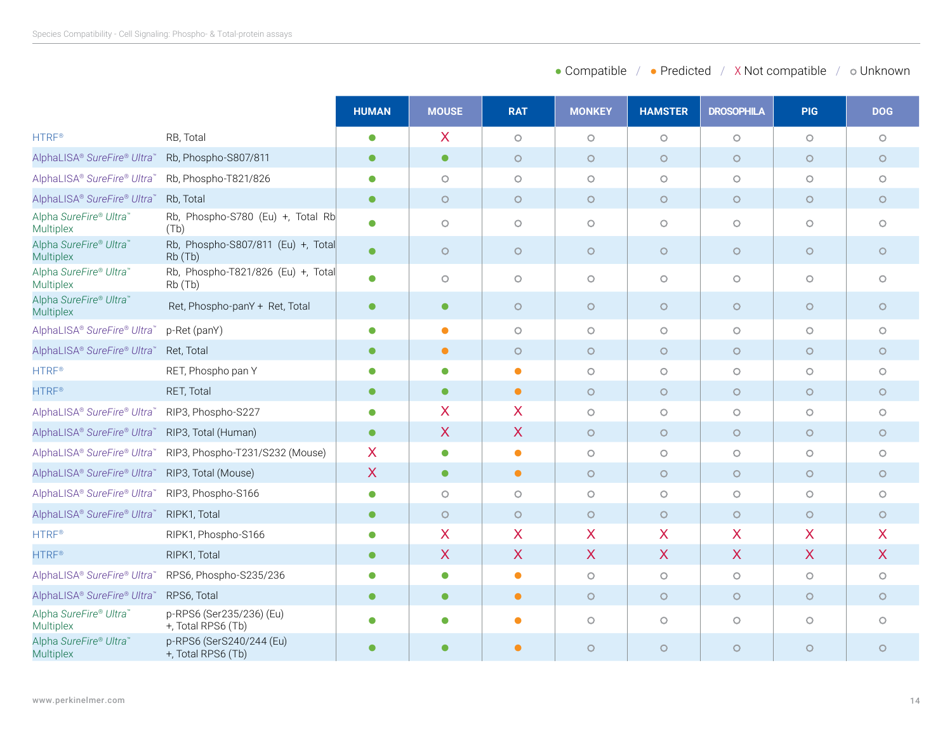|                                            |                                                | <b>HUMAN</b> | <b>MOUSE</b>            | <b>RAT</b>              | <b>MONKEY</b>           | <b>HAMSTER</b>          | <b>DROSOPHILA</b>         | <b>PIG</b> | <b>DOG</b>              |
|--------------------------------------------|------------------------------------------------|--------------|-------------------------|-------------------------|-------------------------|-------------------------|---------------------------|------------|-------------------------|
| <b>HTRF®</b>                               | RB, Total                                      | $\bullet$    | $\overline{\mathsf{X}}$ | $\circ$                 | $\circ$                 | $\circ$                 | $\circ$                   | $\circ$    | $\circ$                 |
| AlphaLISA® SureFire® Ultra                 | Rb, Phospho-S807/811                           | $\bullet$    | $\bullet$               | $\circ$                 | $\circ$                 | $\circ$                 | $\circ$                   | $\circ$    | $\circ$                 |
| AlphaLISA® SureFire® Ultra                 | Rb, Phospho-T821/826                           | $\bullet$    | $\circ$                 | $\circ$                 | $\circ$                 | $\circ$                 | $\circ$                   | $\circ$    | $\circ$                 |
| AlphaLISA® SureFire® Ultra™                | Rb, Total                                      | $\bullet$    | $\circ$                 | $\circ$                 | $\circ$                 | $\circ$                 | $\circ$                   | $\circ$    | $\circ$                 |
| Alpha SureFire® Ultra™<br>Multiplex        | Rb, Phospho-S780 (Eu) +, Total Rb<br>(Tb)      | $\bullet$    | $\circ$                 | $\circ$                 | $\circ$                 | $\circ$                 | $\circ$                   | $\circ$    | $\circ$                 |
| Alpha SureFire® Ultra™<br><b>Multiplex</b> | Rb, Phospho-S807/811 (Eu) +, Total<br>Rb (Tb)  | $\bullet$    | $\circ$                 | $\circ$                 | $\circ$                 | $\circ$                 | $\circ$                   | $\circ$    | $\circ$                 |
| Alpha SureFire® Ultra™<br>Multiplex        | Rb, Phospho-T821/826 (Eu) +, Total<br>Rb (Tb)  | $\bullet$    | $\circ$                 | $\circ$                 | $\bigcirc$              | $\bigcirc$              | $\circ$                   | $\circ$    | $\circ$                 |
| Alpha SureFire® Ultra™<br><b>Multiplex</b> | Ret, Phospho-panY + Ret, Total                 | $\bullet$    | $\bullet$               | $\circ$                 | $\circ$                 | $\circ$                 | $\circ$                   | $\circ$    | $\circ$                 |
| AlphaLISA® SureFire® Ultra™                | p-Ret (panY)                                   | $\bullet$    | $\bullet$               | $\circ$                 | $\circ$                 | $\circ$                 | $\circ$                   | $\circ$    | $\circ$                 |
| AlphaLISA® SureFire® Ultra™                | Ret, Total                                     | $\bullet$    | $\bullet$               | $\circ$                 | $\circ$                 | $\circ$                 | $\circ$                   | $\circ$    | $\circ$                 |
| <b>HTRF®</b>                               | RET, Phospho pan Y                             | $\bullet$    | $\bullet$               | $\bullet$               | $\circ$                 | $\circlearrowright$     | $\circ$                   | $\circ$    | $\circ$                 |
| <b>HTRF®</b>                               | RET, Total                                     | $\bullet$    | $\bullet$               | $\bullet$               | $\circ$                 | $\circ$                 | $\circ$                   | $\circ$    | $\circ$                 |
| AlphaLISA® SureFire® Ultra™                | RIP3, Phospho-S227                             | $\bullet$    | X                       | $\overline{\mathsf{X}}$ | $\circ$                 | $\circ$                 | $\circ$                   | $\circ$    | $\circ$                 |
| AlphaLISA® SureFire® Ultra™                | RIP3, Total (Human)                            | $\bullet$    | X                       | X                       | $\circ$                 | $\circ$                 | $\circ$                   | $\circ$    | $\circ$                 |
| AlphaLISA® SureFire® Ultra™                | RIP3, Phospho-T231/S232 (Mouse)                | X            | $\bullet$               | $\bullet$               | $\circ$                 | $\circ$                 | $\circ$                   | $\circ$    | $\circ$                 |
| AlphaLISA® SureFire® Ultra                 | RIP3, Total (Mouse)                            | X            | $\bullet$               | $\bullet$               | $\circ$                 | $\circ$                 | $\circ$                   | $\circ$    | $\circ$                 |
| AlphaLISA® SureFire® Ultra                 | RIP3, Phospho-S166                             | $\bullet$    | $\circ$                 | $\circ$                 | $\circ$                 | $\circ$                 | $\circ$                   | $\circ$    | $\circ$                 |
| AlphaLISA® SureFire® Ultra™                | RIPK1, Total                                   | $\bullet$    | $\circ$                 | $\circ$                 | $\circ$                 | $\circ$                 | $\circ$                   | $\circ$    | $\circ$                 |
| <b>HTRF®</b>                               | RIPK1, Phospho-S166                            | $\bullet$    | $\sf X$                 | X.                      | $\sf X$                 | X                       | X                         | X          | $\overline{\mathsf{X}}$ |
| <b>HTRF®</b>                               | RIPK1, Total                                   | $\bullet$    | $\mathsf{X}$            | $\mathsf{X}$            | $\overline{\mathsf{X}}$ | $\overline{\mathsf{X}}$ | $\boldsymbol{\mathsf{X}}$ | X          | $\overline{\mathsf{X}}$ |
| AlphaLISA® SureFire® Ultra <sup>®</sup>    | RPS6, Phospho-S235/236                         | $\bullet$    | $\bullet$               | $\bullet$               | $\circ$                 | $\circ$                 | $\circ$                   | $\circ$    | $\circ$                 |
| AlphaLISA® SureFire® Ultra™                | RPS6, Total                                    | $\bullet$    | $\bullet$               | $\bullet$               | $\circ$                 | $\circ$                 | $\circ$                   | $\circ$    | $\circ$                 |
| Alpha SureFire® Ultra™<br>Multiplex        | p-RPS6 (Ser235/236) (Eu)<br>+, Total RPS6 (Tb) | $\bullet$    | $\bullet$               | $\bullet$               | $\circ$                 | $\bigcirc$              | $\circ$                   | $\circ$    | $\circ$                 |
| Alpha SureFire® Ultra™<br><b>Multiplex</b> | p-RPS6 (SerS240/244 (Eu)<br>+, Total RPS6 (Tb) | $\bullet$    | $\bullet$               | $\bullet$               | $\circ$                 | $\circ$                 | $\circ$                   | $\circ$    | $\circ$                 |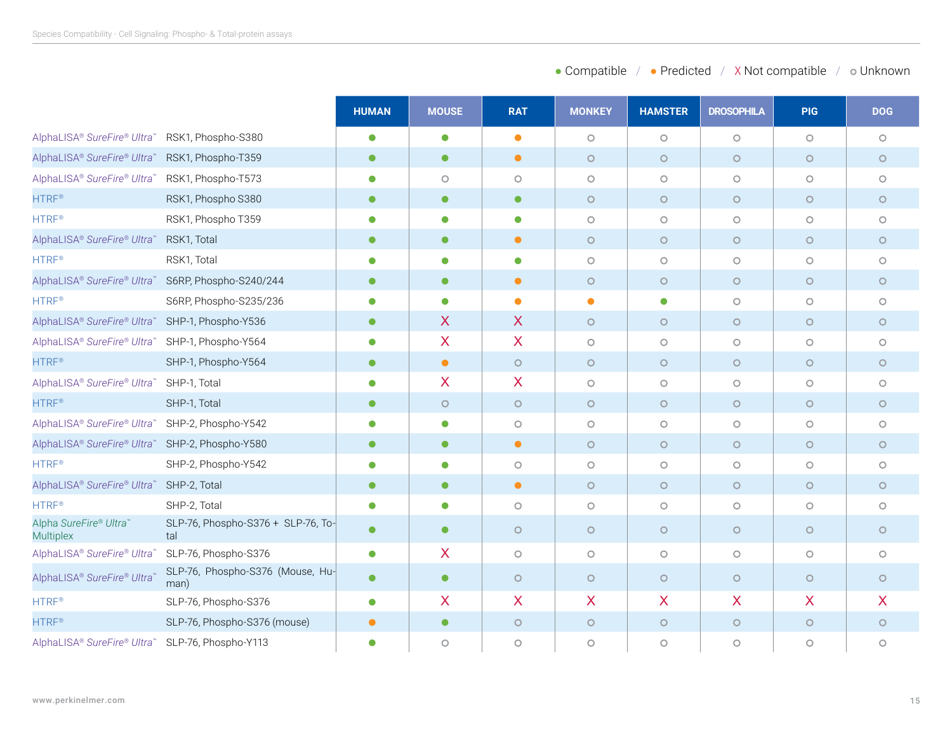|                                                 |                                           | <b>HUMAN</b> | <b>MOUSE</b> | <b>RAT</b> | <b>MONKEY</b> | <b>HAMSTER</b> | <b>DROSOPHILA</b> | <b>PIG</b> | <b>DOG</b> |
|-------------------------------------------------|-------------------------------------------|--------------|--------------|------------|---------------|----------------|-------------------|------------|------------|
| AlphaLISA® SureFire® Ultra™                     | RSK1, Phospho-S380                        | $\bullet$    | $\bullet$    | $\bullet$  | $\circ$       | $\circ$        | $\circ$           | $\circ$    | $\circ$    |
| AlphaLISA® SureFire® Ultra                      | RSK1, Phospho-T359                        | $\bullet$    | $\bullet$    | $\bullet$  | $\circ$       | $\circ$        | $\circ$           | $\circ$    | $\circ$    |
| AlphaLISA® SureFire® Ultra™                     | RSK1, Phospho-T573                        | Ο            | $\circ$      | $\circ$    | $\circ$       | $\circ$        | $\circ$           | $\circ$    | $\circ$    |
| <b>HTRF®</b>                                    | RSK1, Phospho S380                        | $\bullet$    | $\bullet$    | $\bullet$  | $\circ$       | $\circ$        | $\circ$           | $\circ$    | $\circ$    |
| <b>HTRF®</b>                                    | RSK1, Phospho T359                        | $\bullet$    | $\bullet$    | $\bullet$  | $\circ$       | $\circ$        | $\circ$           | $\circ$    | $\circ$    |
| AlphaLISA® SureFire® Ultra™                     | RSK1, Total                               | $\bullet$    | $\bullet$    | $\bullet$  | $\circ$       | $\circ$        | $\circ$           | $\circ$    | $\circ$    |
| HTRF <sup>®</sup>                               | RSK1, Total                               | $\bullet$    | $\bullet$    | $\bullet$  | $\circ$       | $\circ$        | $\circ$           | $\circ$    | $\circ$    |
| AlphaLISA® SureFire® Ultra™                     | S6RP, Phospho-S240/244                    | $\bullet$    | $\bullet$    | $\bullet$  | $\circ$       | $\circ$        | $\circ$           | $\circ$    | $\circ$    |
| <b>HTRF®</b>                                    | S6RP, Phospho-S235/236                    |              | $\bullet$    | $\bullet$  | $\bullet$     | $\bullet$      | $\circ$           | $\circ$    | $\circ$    |
| AlphaLISA® SureFire® Ultra™                     | SHP-1, Phospho-Y536                       | $\bullet$    | X            | $\sf X$    | $\circ$       | $\circ$        | $\circ$           | $\circ$    | $\circ$    |
| AlphaLISA® SureFire® Ultra™                     | SHP-1, Phospho-Y564                       | Ο            | X            | X          | $\circ$       | $\circ$        | $\circ$           | $\circ$    | $\circ$    |
| <b>HTRF®</b>                                    | SHP-1, Phospho-Y564                       | $\bullet$    | $\bullet$    | $\circ$    | $\circ$       | $\circ$        | $\circ$           | $\circ$    | $\circ$    |
| AlphaLISA® SureFire® Ultra™                     | SHP-1, Total                              | $\bullet$    | X            | $\sf X$    | $\circ$       | $\circ$        | $\circ$           | $\circ$    | $\circ$    |
| <b>HTRF®</b>                                    | SHP-1, Total                              | $\bullet$    | $\circ$      | $\circ$    | $\circ$       | $\circ$        | $\circ$           | $\circ$    | $\circ$    |
| AlphaLISA® SureFire® Ultra™                     | SHP-2, Phospho-Y542                       | Ο            | $\bullet$    | $\circ$    | $\circ$       | $\circ$        | $\circ$           | $\circ$    | $\circ$    |
| AlphaLISA® SureFire® Ultra™ SHP-2, Phospho-Y580 |                                           | $\bullet$    | $\bullet$    | $\bullet$  | $\circ$       | $\circ$        | $\circ$           | $\circ$    | $\circ$    |
| <b>HTRF®</b>                                    | SHP-2, Phospho-Y542                       |              | $\bullet$    | $\circ$    | $\circ$       | $\circ$        | $\circ$           | $\circ$    | $\circ$    |
| AlphaLISA® SureFire® Ultra™                     | SHP-2, Total                              | $\bullet$    | $\bullet$    | $\bullet$  | $\circ$       | $\circ$        | $\circ$           | $\circ$    | $\circ$    |
| <b>HTRF®</b>                                    | SHP-2, Total                              | $\bullet$    | $\bullet$    | $\circ$    | $\circ$       | $\circ$        | $\circ$           | $\circ$    | $\circ$    |
| Alpha SureFire® Ultra™<br><b>Multiplex</b>      | SLP-76, Phospho-S376 + SLP-76, To-<br>tal | $\bullet$    | $\bullet$    | $\circ$    | $\circ$       | $\circ$        | $\circ$           | $\circ$    | $\circ$    |
| AlphaLISA® SureFire® Ultra®                     | SLP-76, Phospho-S376                      | $\bullet$    | X            | $\circ$    | $\circ$       | $\circ$        | $\circ$           | $\circ$    | $\circ$    |
| AlphaLISA® SureFire® Ultra™                     | SLP-76, Phospho-S376 (Mouse, Hu-<br>man)  | $\bullet$    | $\bullet$    | $\circ$    | $\circ$       | $\circ$        | $\circ$           | $\circ$    | $\circ$    |
| <b>HTRF®</b>                                    | SLP-76, Phospho-S376                      | $\bullet$    | X.           | $\sf X$    | X             | $\sf X$        | X                 | X          | X.         |
| <b>HTRF®</b>                                    | SLP-76, Phospho-S376 (mouse)              | $\bullet$    | $\bullet$    | $\circ$    | $\circ$       | $\circ$        | $\circ$           | $\circ$    | $\circ$    |
| AlphaLISA® SureFire® Ultra™                     | SLP-76, Phospho-Y113                      | $\bullet$    | $\circ$      | $\circ$    | $\circ$       | $\circ$        | $\circ$           | $\circ$    | $\circ$    |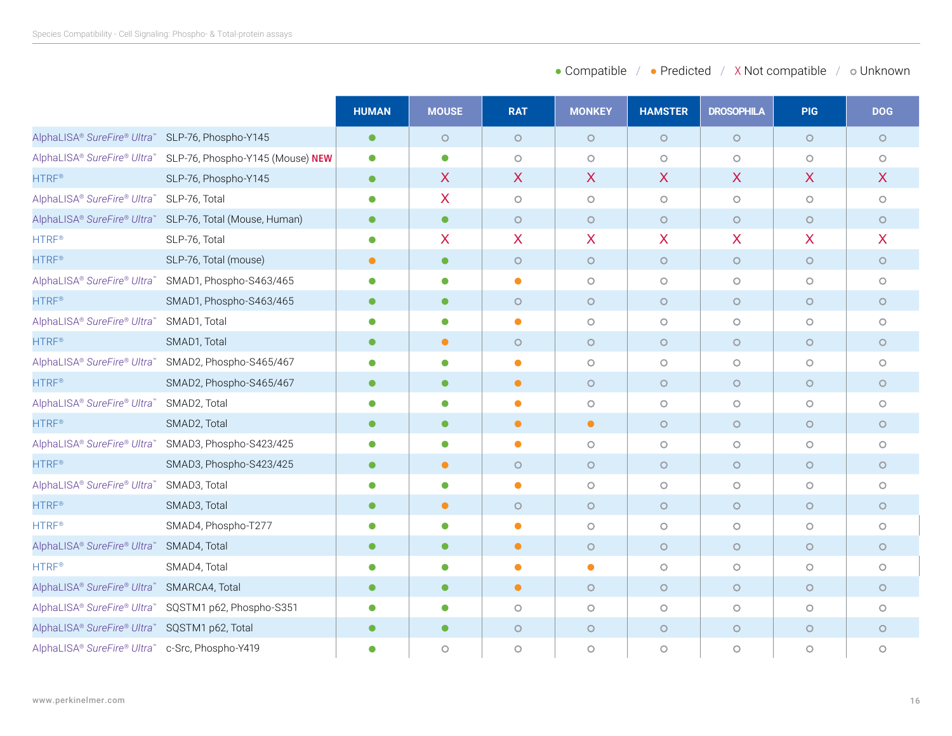|                                                  |                                                              | <b>HUMAN</b> | <b>MOUSE</b> | <b>RAT</b> | <b>MONKEY</b> | <b>HAMSTER</b> | <b>DROSOPHILA</b> | <b>PIG</b> | <b>DOG</b> |
|--------------------------------------------------|--------------------------------------------------------------|--------------|--------------|------------|---------------|----------------|-------------------|------------|------------|
| AlphaLISA® SureFire® Ultra™ SLP-76, Phospho-Y145 |                                                              | $\bullet$    | $\circ$      | $\circ$    | $\circ$       | $\circ$        | $\circ$           | $\circ$    | $\circ$    |
|                                                  | AlphaLISA® SureFire® Ultra™ SLP-76, Phospho-Y145 (Mouse) NEW | $\bullet$    | ●            | $\circ$    | $\circ$       | $\circ$        | $\circ$           | $\circ$    | $\circ$    |
| <b>HTRF®</b>                                     | SLP-76, Phospho-Y145                                         | $\bullet$    | X            | X          | X             | X              | X                 | X          | $\sf X$    |
| AlphaLISA® SureFire® Ultra™                      | SLP-76, Total                                                | $\bullet$    | X            | $\circ$    | $\circ$       | $\circ$        | $\circ$           | $\circ$    | $\circ$    |
|                                                  | AlphaLISA® SureFire® Ultra™ SLP-76, Total (Mouse, Human)     | $\bullet$    | $\bullet$    | $\circ$    | $\circ$       | $\circ$        | $\circ$           | $\circ$    | $\circ$    |
| <b>HTRF®</b>                                     | SLP-76, Total                                                | $\bullet$    | X            | X          | X             | X              | X                 | X          | X          |
| <b>HTRF®</b>                                     | SLP-76, Total (mouse)                                        | $\bullet$    | $\bullet$    | $\circ$    | $\circ$       | $\circ$        | $\circ$           | $\circ$    | $\circ$    |
| AlphaLISA® SureFire® Ultra™                      | SMAD1, Phospho-S463/465                                      | $\bullet$    | $\bullet$    | $\bullet$  | $\circ$       | $\circ$        | $\circ$           | $\circ$    | $\circ$    |
| <b>HTRF®</b>                                     | SMAD1, Phospho-S463/465                                      | $\bullet$    | $\bullet$    | $\circ$    | $\circ$       | $\circ$        | $\circ$           | $\circ$    | $\circ$    |
| AlphaLISA® SureFire® Ultra™                      | SMAD1, Total                                                 |              | $\bullet$    | $\bullet$  | $\circ$       | $\circ$        | $\circ$           | $\circ$    | $\circ$    |
| <b>HTRF®</b>                                     | SMAD1, Total                                                 | $\bullet$    | $\bullet$    | $\circ$    | $\circ$       | $\circ$        | $\circ$           | $\circ$    | $\circ$    |
| AlphaLISA® SureFire® Ultra™                      | SMAD2, Phospho-S465/467                                      | $\bullet$    | $\bullet$    | $\bullet$  | $\circ$       | $\circ$        | $\circ$           | $\circ$    | $\circ$    |
| <b>HTRF®</b>                                     | SMAD2, Phospho-S465/467                                      | $\bullet$    | $\bullet$    | $\bullet$  | $\circ$       | $\circ$        | $\circ$           | $\circ$    | $\circ$    |
| AlphaLISA® SureFire® Ultra™                      | SMAD2, Total                                                 | ●            | ●            |            | $\circ$       | $\circ$        | $\circ$           | $\circ$    | $\circ$    |
| <b>HTRF®</b>                                     | SMAD2, Total                                                 | $\bullet$    | $\bullet$    | $\bullet$  | $\bullet$     | $\circ$        | $\circ$           | $\circ$    | $\circ$    |
| AlphaLISA® SureFire® Ultra™                      | SMAD3, Phospho-S423/425                                      |              | ●            |            | $\circ$       | $\circ$        | $\circ$           | $\circ$    | $\circ$    |
| <b>HTRF®</b>                                     | SMAD3, Phospho-S423/425                                      |              | $\bullet$    | $\circ$    | $\circ$       | $\circ$        | $\circ$           | $\circ$    | $\circ$    |
| AlphaLISA® SureFire® Ultra™                      | SMAD3, Total                                                 |              | ●            |            | $\circ$       | $\circ$        | $\circ$           | $\circ$    | $\circ$    |
| <b>HTRF®</b>                                     | SMAD3, Total                                                 | $\bullet$    | $\bullet$    | $\circ$    | $\circ$       | $\circ$        | $\circ$           | $\circ$    | $\circ$    |
| <b>HTRF®</b>                                     | SMAD4, Phospho-T277                                          |              | $\bullet$    |            | $\circ$       | $\circ$        | $\circ$           | $\circ$    | $\circ$    |

AlphaLISA® *SureFire*® *Ultra*™ SMAD4, Total ● ● ● ● ● ● ● ● HTRF® SMAD4, Total ● ● ● ● ● ● ● ● AlphaLISA® *SureFire*® *Ultra*™ SMARCA4, Total ● ● ● ● ● ● ● ● AlphaLISA® *SureFire® Ultra*™ SQSTM1 p62, Phospho-S351 **e e** a **e** a b a b a c e a b c e a c e a b c e a b c e a b c AlphaLISA® *SureFire*® *Ultra*™ SQSTM1 p62, Total ● ● ● ● ● ● ● ● AlphaLISA® *SureFire*® *Ultra*™ c-Src, Phospho-Y419 ● ● ● ● ● ● ● ●

● Compatible / ● Predicted / X Not compatible / ○ Unknown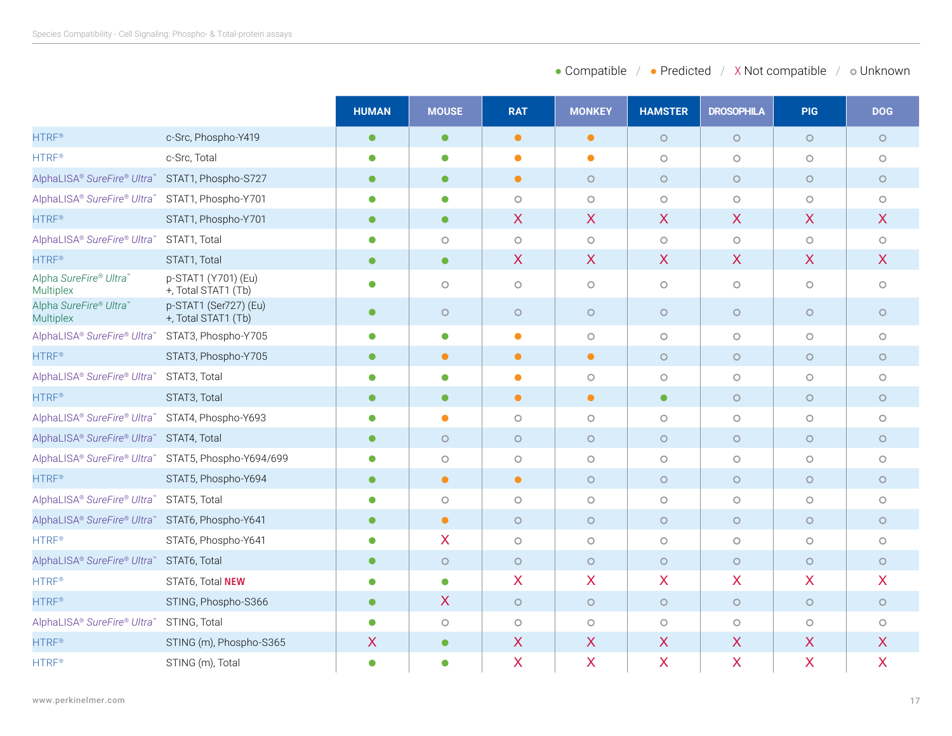| • Compatible<br>• Predicted | X Not compatible | o Unknown |
|-----------------------------|------------------|-----------|
|-----------------------------|------------------|-----------|

|                                                     |                                              | <b>HUMAN</b> | <b>MOUSE</b> | <b>RAT</b> | <b>MONKEY</b> | <b>HAMSTER</b> | <b>DROSOPHILA</b>         | <b>PIG</b> | <b>DOG</b>                |
|-----------------------------------------------------|----------------------------------------------|--------------|--------------|------------|---------------|----------------|---------------------------|------------|---------------------------|
| <b>HTRF®</b>                                        | c-Src, Phospho-Y419                          | $\bullet$    | $\bullet$    | $\bullet$  | $\bullet$     | $\circ$        | $\circ$                   | $\circ$    | $\circ$                   |
| <b>HTRF®</b>                                        | c-Src, Total                                 | $\bullet$    | $\bullet$    | $\bullet$  | $\bullet$     | $\circ$        | $\circ$                   | $\circ$    | $\circ$                   |
| AlphaLISA® SureFire® Ultra™ STAT1, Phospho-S727     |                                              | $\bullet$    | $\bullet$    | $\bullet$  | $\circ$       | $\circ$        | $\circ$                   | $\circ$    | $\circ$                   |
| AlphaLISA® SureFire® Ultra™ STAT1, Phospho-Y701     |                                              | 0            | $\bullet$    | $\circ$    | $\circ$       | $\circ$        | $\circ$                   | $\circ$    | $\circ$                   |
| <b>HTRF®</b>                                        | STAT1, Phospho-Y701                          | $\bullet$    | $\bullet$    | X          | $\sf X$       | X              | $\boldsymbol{\mathsf{X}}$ | X          | $\boldsymbol{X}$          |
| AlphaLISA® SureFire® Ultra™                         | STAT1, Total                                 | $\bullet$    | $\circ$      | $\circ$    | $\circ$       | $\bigcirc$     | $\circ$                   | $\circ$    | $\circ$                   |
| <b>HTRF®</b>                                        | STAT1, Total                                 | $\bullet$    | $\bullet$    | X          | $\sf X$       | $\mathsf{X}$   | $\overline{\mathsf{X}}$   | X          | $\boldsymbol{\mathsf{X}}$ |
| Alpha SureFire® Ultra™<br>Multiplex                 | p-STAT1 (Y701) (Eu)<br>+, Total STAT1 (Tb)   | 0            | $\circ$      | $\circ$    | $\circ$       | $\circ$        | $\circ$                   | $\circ$    | $\circ$                   |
| Alpha SureFire® Ultra™<br><b>Multiplex</b>          | p-STAT1 (Ser727) (Eu)<br>+, Total STAT1 (Tb) | $\bullet$    | $\circ$      | $\circ$    | $\circ$       | $\circ$        | $\circ$                   | $\circ$    | $\circ$                   |
| AlphaLISA® SureFire® Ultra™ STAT3, Phospho-Y705     |                                              | О            | $\bullet$    | $\bullet$  | $\circ$       | $\circ$        | $\circ$                   | $\circ$    | $\circ$                   |
| <b>HTRF®</b>                                        | STAT3, Phospho-Y705                          | $\bullet$    | $\bullet$    | $\bullet$  | $\bullet$     | $\circ$        | $\circ$                   | $\circ$    | $\circ$                   |
| AlphaLISA® SureFire® Ultra™                         | STAT3, Total                                 | $\bullet$    | $\bullet$    | $\bullet$  | $\circ$       | $\circ$        | $\circ$                   | $\circ$    | $\circ$                   |
| <b>HTRF®</b>                                        | STAT3, Total                                 | $\bullet$    | $\bullet$    | $\bullet$  | $\bullet$     | $\bullet$      | $\circ$                   | $\circ$    | $\circ$                   |
| AlphaLISA® SureFire® Ultra™ STAT4, Phospho-Y693     |                                              |              | $\bullet$    | $\circ$    | $\circ$       | $\circ$        | $\circ$                   | $\circ$    | $\circ$                   |
| AlphaLISA® SureFire® Ultra™ STAT4, Total            |                                              | $\bullet$    | $\circ$      | $\circ$    | $\circ$       | $\circ$        | $\circ$                   | $\circ$    | $\circ$                   |
| AlphaLISA® SureFire® Ultra™ STAT5, Phospho-Y694/699 |                                              | 0            | $\circ$      | $\circ$    | $\circ$       | $\circ$        | $\circ$                   | $\circ$    | $\circ$                   |
| <b>HTRF®</b>                                        | STAT5, Phospho-Y694                          | $\bullet$    | $\bullet$    | $\bullet$  | $\circ$       | $\circ$        | $\circ$                   | $\circ$    | $\circ$                   |
| AlphaLISA® SureFire® Ultra™                         | STAT5, Total                                 | 0            | $\circ$      | $\circ$    | $\circ$       | $\circ$        | $\circ$                   | $\circ$    | $\circ$                   |
| AlphaLISA® SureFire® Ultra™ STAT6, Phospho-Y641     |                                              | $\bullet$    | $\bullet$    | $\circ$    | $\circ$       | $\circ$        | $\circ$                   | $\circ$    | $\circ$                   |
| <b>HTRF®</b>                                        | STAT6, Phospho-Y641                          |              | X            | $\circ$    | $\circ$       | $\circ$        | $\circ$                   | $\circ$    | $\circ$                   |
| AlphaLISA® SureFire® Ultra™                         | STAT6, Total                                 | $\bullet$    | $\circ$      | $\circ$    | $\circ$       | $\circ$        | $\circ$                   | $\circ$    | $\circ$                   |
| <b>HTRF®</b>                                        | STAT6, Total NEW                             | с            | $\bullet$    | X          | $\sf X$       | X              | $\overline{\mathsf{X}}$   | X          | $\overline{X}$            |
| <b>HTRF®</b>                                        | STING, Phospho-S366                          | $\bullet$    | X            | $\circ$    | $\circ$       | $\circ$        | $\circ$                   | $\circ$    | $\circ$                   |
| AlphaLISA® SureFire® Ultra™ STING, Total            |                                              | $\bullet$    | $\circ$      | $\circ$    | $\circ$       | $\circ$        | $\circ$                   | $\circ$    | $\circ$                   |
| <b>HTRF®</b>                                        | STING (m), Phospho-S365                      | X            | $\bullet$    | $\sf X$    | X             | X              | $\boldsymbol{\mathsf{X}}$ | X          | $\boldsymbol{\mathsf{X}}$ |
| HTRF <sup>®</sup>                                   | STING (m), Total                             | $\bullet$    | $\bullet$    | X          | X             | X              | $\boldsymbol{\mathsf{X}}$ | X          | $\overline{\mathsf{X}}$   |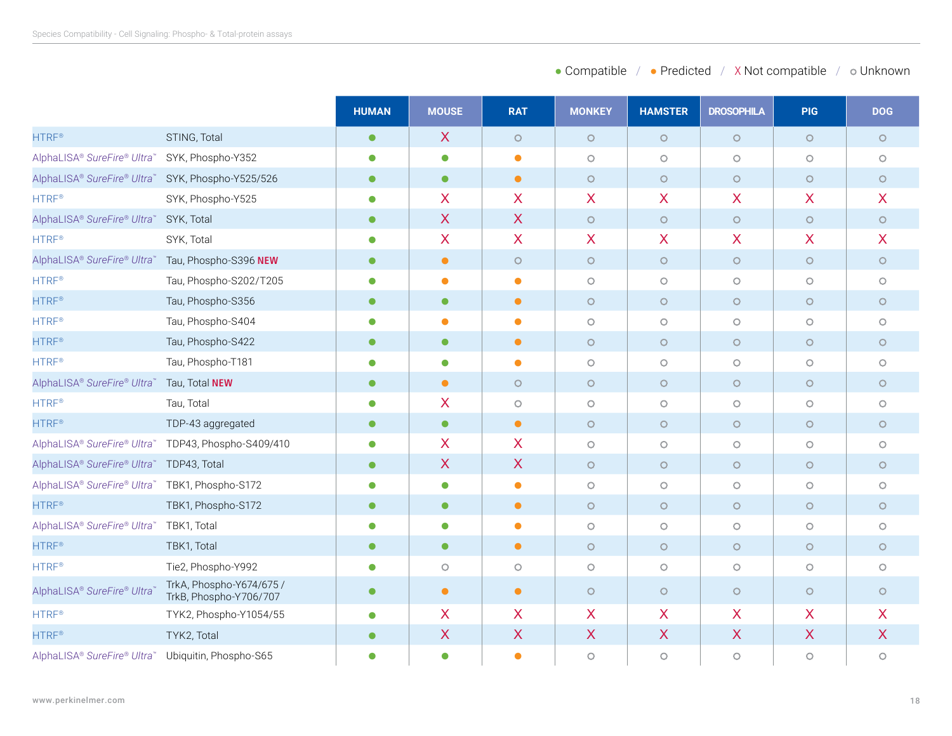| • Compatible<br>• Predicted | X Not compatible | o Unknown |
|-----------------------------|------------------|-----------|
|-----------------------------|------------------|-----------|

|                                                    |                                                     | <b>HUMAN</b> | <b>MOUSE</b> | <b>RAT</b>   | <b>MONKEY</b>           | <b>HAMSTER</b> | <b>DROSOPHILA</b>         | <b>PIG</b> | <b>DOG</b>              |
|----------------------------------------------------|-----------------------------------------------------|--------------|--------------|--------------|-------------------------|----------------|---------------------------|------------|-------------------------|
| <b>HTRF®</b>                                       | STING, Total                                        | $\bullet$    | $\sf X$      | $\circ$      | $\circ$                 | $\circ$        | $\circ$                   | $\circ$    | $\circ$                 |
| AlphaLISA® SureFire® Ultra™                        | SYK, Phospho-Y352                                   | 0            | $\bullet$    | $\bullet$    | $\circ$                 | $\circ$        | $\circ$                   | $\circ$    | $\circ$                 |
| AlphaLISA® SureFire® Ultra™ SYK, Phospho-Y525/526  |                                                     | $\bullet$    | $\bullet$    | $\bullet$    | $\circ$                 | $\circ$        | $\circ$                   | $\circ$    | $\circ$                 |
| <b>HTRF®</b>                                       | SYK, Phospho-Y525                                   | $\bullet$    | X            | X            | X                       | X              | $\boldsymbol{\mathsf{X}}$ | X          | $\boldsymbol{X}$        |
| AlphaLISA® SureFire® Ultra™ SYK, Total             |                                                     | $\bullet$    | X            | $\mathsf{X}$ | $\circ$                 | $\circ$        | $\circ$                   | $\circ$    | $\circ$                 |
| <b>HTRF®</b>                                       | SYK, Total                                          | $\bullet$    | X            | X            | X                       | X              | X                         | X          | $\boldsymbol{X}$        |
| AlphaLISA® SureFire® Ultra™ Tau, Phospho-S396 NEW  |                                                     | $\bullet$    | $\bullet$    | $\circ$      | $\circ$                 | $\circ$        | $\circ$                   | $\circ$    | $\circ$                 |
| <b>HTRF®</b>                                       | Tau, Phospho-S202/T205                              | $\bullet$    | $\bullet$    | $\bullet$    | $\circ$                 | $\circ$        | $\circ$                   | $\circ$    | $\circ$                 |
| <b>HTRF®</b>                                       | Tau, Phospho-S356                                   | $\bullet$    | $\bullet$    | $\bullet$    | $\circ$                 | $\circ$        | $\circ$                   | $\circ$    | $\circ$                 |
| <b>HTRF®</b>                                       | Tau, Phospho-S404                                   |              |              | $\bullet$    | $\circ$                 | $\circ$        | $\circ$                   | $\circ$    | $\circ$                 |
| <b>HTRF®</b>                                       | Tau, Phospho-S422                                   | $\bullet$    | $\bullet$    | $\bullet$    | $\circ$                 | $\circ$        | $\circ$                   | $\circ$    | $\circ$                 |
| <b>HTRF®</b>                                       | Tau, Phospho-T181                                   | 0            | $\bullet$    | $\bullet$    | $\circ$                 | $\circ$        | $\circ$                   | $\circ$    | $\circ$                 |
| AlphaLISA® SureFire® Ultra™ Tau, Total NEW         |                                                     | $\bullet$    | $\bullet$    | $\circ$      | $\circ$                 | $\circ$        | $\circ$                   | $\circ$    | $\circ$                 |
| <b>HTRF®</b>                                       | Tau, Total                                          | 0            | X            | $\circ$      | $\circ$                 | $\circ$        | $\circ$                   | $\circ$    | $\circ$                 |
| <b>HTRF®</b>                                       | TDP-43 aggregated                                   | $\bullet$    | $\bullet$    | $\bullet$    | $\circ$                 | $\circ$        | $\circ$                   | $\circ$    | $\circ$                 |
|                                                    | AlphaLISA® SureFire® Ultra™ TDP43, Phospho-S409/410 | $\bullet$    | X            | X            | $\circ$                 | $\circ$        | $\circ$                   | $\circ$    | $\circ$                 |
| AlphaLISA® SureFire® Ultra™                        | TDP43, Total                                        | $\bullet$    | X            | X            | $\circ$                 | $\circ$        | $\circ$                   | $\circ$    | $\circ$                 |
| AlphaLISA® SureFire® Ultra™ TBK1, Phospho-S172     |                                                     | 0            | $\bullet$    | $\bullet$    | $\circ$                 | $\bigcirc$     | $\circ$                   | $\circ$    | $\circ$                 |
| <b>HTRF®</b>                                       | TBK1, Phospho-S172                                  | $\bullet$    | $\bullet$    | $\bullet$    | $\circ$                 | $\circ$        | $\circ$                   | $\circ$    | $\circ$                 |
| AlphaLISA® SureFire® Ultra™                        | TBK1, Total                                         | $\bullet$    | $\bullet$    | $\bullet$    | $\circ$                 | $\circ$        | $\circ$                   | $\circ$    | $\circ$                 |
| <b>HTRF®</b>                                       | TBK1, Total                                         | $\bullet$    | $\bullet$    | $\bullet$    | $\circ$                 | $\circ$        | $\circ$                   | $\circ$    | $\circ$                 |
| <b>HTRF®</b>                                       | Tie2, Phospho-Y992                                  | 0            | $\circ$      | $\circ$      | $\circ$                 | $\circ$        | $\circ$                   | $\circ$    | $\circ$                 |
| AlphaLISA® SureFire® Ultra'                        | TrkA, Phospho-Y674/675 /<br>TrkB, Phospho-Y706/707  | $\bullet$    | $\bullet$    | $\bullet$    | $\circ$                 | $\circ$        | $\circ$                   | $\circ$    | $\circ$                 |
| <b>HTRF®</b>                                       | TYK2, Phospho-Y1054/55                              | $\bullet$    | X            | X            | $\overline{\mathsf{X}}$ | X              | $\overline{\mathsf{X}}$   | X          | $\overline{\mathsf{X}}$ |
| <b>HTRF®</b>                                       | TYK2, Total                                         | $\bullet$    | X            | X            | X                       | X              | X                         | X          | $\boldsymbol{X}$        |
| AlphaLISA® SureFire® Ultra™ Ubiquitin, Phospho-S65 |                                                     | 0            | $\bullet$    | $\bullet$    | $\circ$                 | $\circ$        | $\circ$                   | $\circ$    | $\circ$                 |